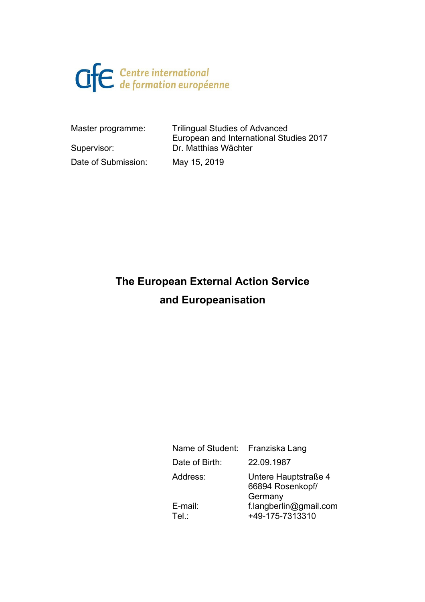

Master programme: Trilingual Studies of Advanced European and International Studies 2017 Supervisor: Dr. Matthias Wächter Date of Submission: May 15, 2019

# **The European External Action Service and Europeanisation**

| Name of Student: | Franziska Lang                                      |
|------------------|-----------------------------------------------------|
| Date of Birth:   | 22.09.1987                                          |
| Address:         | Untere Hauptstraße 4<br>66894 Rosenkopf/<br>Germany |
| E-mail:<br>Tel:  | f.langberlin@gmail.com<br>+49-175-7313310           |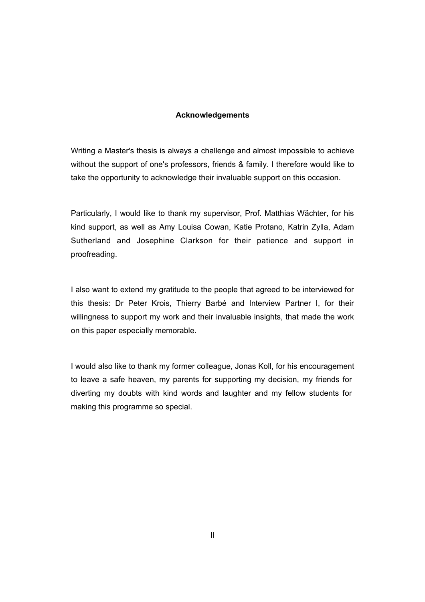#### **Acknowledgements**

Writing a Master's thesis is always a challenge and almost impossible to achieve without the support of one's professors, friends & family. I therefore would like to take the opportunity to acknowledge their invaluable support on this occasion.

Particularly, I would like to thank my supervisor, Prof. Matthias Wächter, for his kind support, as well as Amy Louisa Cowan, Katie Protano, Katrin Zylla, Adam Sutherland and Josephine Clarkson for their patience and support in proofreading.

I also want to extend my gratitude to the people that agreed to be interviewed for this thesis: Dr Peter Krois, Thierry Barbé and Interview Partner I, for their willingness to support my work and their invaluable insights, that made the work on this paper especially memorable.

I would also like to thank my former colleague, Jonas Koll, for his encouragement to leave a safe heaven, my parents for supporting my decision, my friends for diverting my doubts with kind words and laughter and my fellow students for making this programme so special.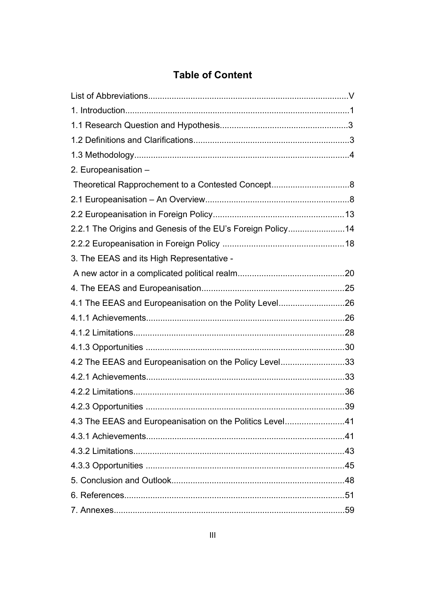### **Table of Content**

| 2. Europeanisation -                                       |    |
|------------------------------------------------------------|----|
|                                                            |    |
|                                                            |    |
|                                                            |    |
| 2.2.1 The Origins and Genesis of the EU's Foreign Policy14 |    |
|                                                            |    |
| 3. The EEAS and its High Representative -                  |    |
|                                                            |    |
|                                                            |    |
| 4.1 The EEAS and Europeanisation on the Polity Level26     |    |
|                                                            |    |
|                                                            |    |
|                                                            |    |
| 4.2 The EEAS and Europeanisation on the Policy Level33     |    |
|                                                            |    |
|                                                            |    |
|                                                            | 39 |
| 4.3 The EEAS and Europeanisation on the Politics Level41   |    |
|                                                            |    |
|                                                            |    |
|                                                            |    |
|                                                            |    |
|                                                            |    |
|                                                            |    |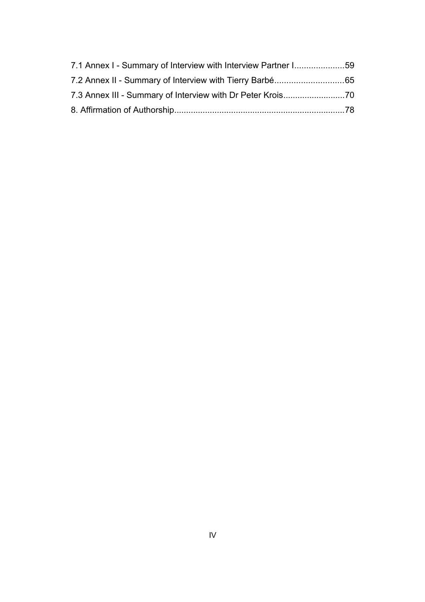| 7.1 Annex I - Summary of Interview with Interview Partner I59 |  |
|---------------------------------------------------------------|--|
|                                                               |  |
|                                                               |  |
|                                                               |  |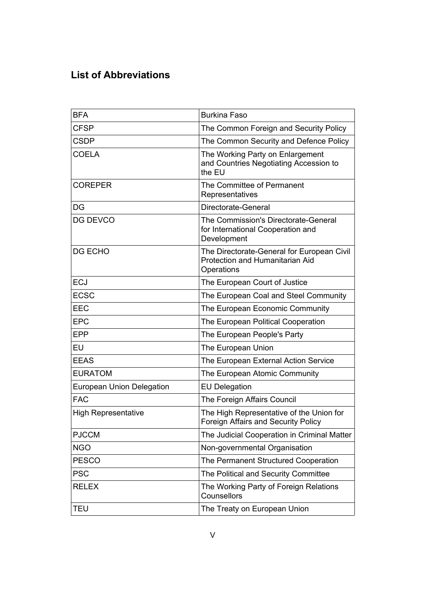## **List of Abbreviations**

| <b>BFA</b>                 | <b>Burkina Faso</b>                                                                         |
|----------------------------|---------------------------------------------------------------------------------------------|
| <b>CFSP</b>                | The Common Foreign and Security Policy                                                      |
| <b>CSDP</b>                | The Common Security and Defence Policy                                                      |
| <b>COELA</b>               | The Working Party on Enlargement<br>and Countries Negotiating Accession to<br>the EU        |
| <b>COREPER</b>             | The Committee of Permanent<br>Representatives                                               |
| DG                         | Directorate-General                                                                         |
| <b>DG DEVCO</b>            | The Commission's Directorate-General<br>for International Cooperation and<br>Development    |
| DG ECHO                    | The Directorate-General for European Civil<br>Protection and Humanitarian Aid<br>Operations |
| <b>ECJ</b>                 | The European Court of Justice                                                               |
| <b>ECSC</b>                | The European Coal and Steel Community                                                       |
| <b>EEC</b>                 | The European Economic Community                                                             |
| <b>EPC</b>                 | The European Political Cooperation                                                          |
| <b>EPP</b>                 | The European People's Party                                                                 |
| EU                         | The European Union                                                                          |
| <b>EEAS</b>                | The European External Action Service                                                        |
| <b>EURATOM</b>             | The European Atomic Community                                                               |
| European Union Delegation  | <b>EU Delegation</b>                                                                        |
| <b>FAC</b>                 | The Foreign Affairs Council                                                                 |
| <b>High Representative</b> | The High Representative of the Union for<br><b>Foreign Affairs and Security Policy</b>      |
| <b>PJCCM</b>               | The Judicial Cooperation in Criminal Matter                                                 |
| <b>NGO</b>                 | Non-governmental Organisation                                                               |
| <b>PESCO</b>               | The Permanent Structured Cooperation                                                        |
| <b>PSC</b>                 | The Political and Security Committee                                                        |
| <b>RELEX</b>               | The Working Party of Foreign Relations<br>Counsellors                                       |
| TEU                        | The Treaty on European Union                                                                |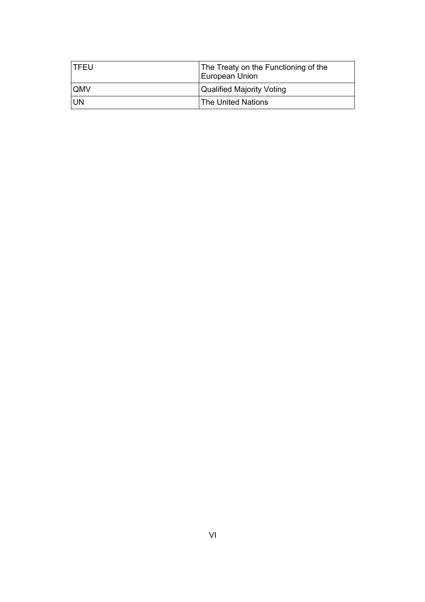| I TFEU.    | The Treaty on the Functioning of the<br>European Union |
|------------|--------------------------------------------------------|
| <b>OMV</b> | <b>Qualified Majority Voting</b>                       |
| UN         | ∣ The United Nations                                   |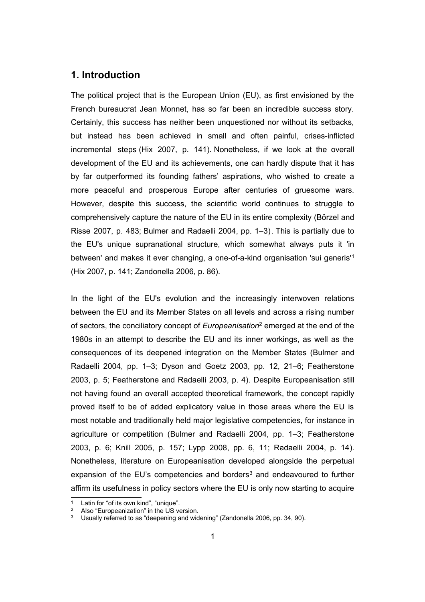#### **1. Introduction**

The political project that is the European Union (EU), as first envisioned by the French bureaucrat Jean Monnet, has so far been an incredible success story. Certainly, this success has neither been unquestioned nor without its setbacks, but instead has been achieved in small and often painful, crises-inflicted incremental steps (Hix 2007, p. 141). Nonetheless, if we look at the overall development of the EU and its achievements, one can hardly dispute that it has by far outperformed its founding fathers' aspirations, who wished to create a more peaceful and prosperous Europe after centuries of gruesome wars. However, despite this success, the scientific world continues to struggle to comprehensively capture the nature of the EU in its entire complexity (Börzel and Risse 2007, p. 483; Bulmer and Radaelli 2004, pp. 1–3). This is partially due to the EU's unique supranational structure, which somewhat always puts it 'in between' and makes it ever changing, a one-of-a-kind organisation 'sui generis'[1](#page-6-0) (Hix 2007, p. 141; Zandonella 2006, p. 86).

In the light of the EU's evolution and the increasingly interwoven relations between the EU and its Member States on all levels and across a rising number of sectors, the conciliatory concept of *Europeanisation*<sup>[2](#page-6-1)</sup> emerged at the end of the 1980s in an attempt to describe the EU and its inner workings, as well as the consequences of its deepened integration on the Member States (Bulmer and Radaelli 2004, pp. 1–3; Dyson and Goetz 2003, pp. 12, 21–6; Featherstone 2003, p. 5; Featherstone and Radaelli 2003, p. 4). Despite Europeanisation still not having found an overall accepted theoretical framework, the concept rapidly proved itself to be of added explicatory value in those areas where the EU is most notable and traditionally held major legislative competencies, for instance in agriculture or competition (Bulmer and Radaelli 2004, pp. 1–3; Featherstone 2003, p. 6; Knill 2005, p. 157; Lypp 2008, pp. 6, 11; Radaelli 2004, p. 14). Nonetheless, literature on Europeanisation developed alongside the perpetual expansion of the EU's competencies and borders<sup>[3](#page-6-2)</sup> and endeavoured to further affirm its usefulness in policy sectors where the EU is only now starting to acquire

<span id="page-6-0"></span>Latin for "of its own kind", "unique".

<span id="page-6-1"></span>Also "Europeanization" in the US version.

<span id="page-6-2"></span>Usually referred to as "deepening and widening" (Zandonella 2006, pp. 34, 90).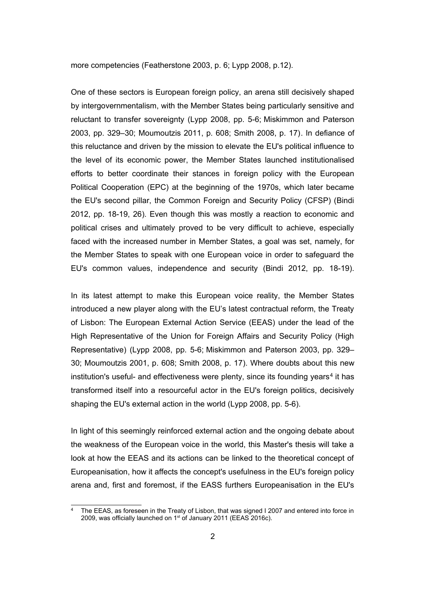more competencies (Featherstone 2003, p. 6; Lypp 2008, p.12).

One of these sectors is European foreign policy, an arena still decisively shaped by intergovernmentalism, with the Member States being particularly sensitive and reluctant to transfer sovereignty (Lypp 2008, pp. 5-6; Miskimmon and Paterson 2003, pp. 329–30; Moumoutzis 2011, p. 608; Smith 2008, p. 17). In defiance of this reluctance and driven by the mission to elevate the EU's political influence to the level of its economic power, the Member States launched institutionalised efforts to better coordinate their stances in foreign policy with the European Political Cooperation (EPC) at the beginning of the 1970s, which later became the EU's second pillar, the Common Foreign and Security Policy (CFSP) (Bindi 2012, pp. 18-19, 26). Even though this was mostly a reaction to economic and political crises and ultimately proved to be very difficult to achieve, especially faced with the increased number in Member States, a goal was set, namely, for the Member States to speak with one European voice in order to safeguard the EU's common values, independence and security (Bindi 2012, pp. 18-19).

In its latest attempt to make this European voice reality, the Member States introduced a new player along with the EU's latest contractual reform, the Treaty of Lisbon: The European External Action Service (EEAS) under the lead of the High Representative of the Union for Foreign Affairs and Security Policy (High Representative) (Lypp 2008, pp. 5-6; Miskimmon and Paterson 2003, pp. 329– 30; Moumoutzis 2001, p. 608; Smith 2008, p. 17). Where doubts about this new institution's useful- and effectiveness were plenty, since its founding years<sup>[4](#page-7-0)</sup> it has transformed itself into a resourceful actor in the EU's foreign politics, decisively shaping the EU's external action in the world (Lypp 2008, pp. 5-6).

In light of this seemingly reinforced external action and the ongoing debate about the weakness of the European voice in the world, this Master's thesis will take a look at how the EEAS and its actions can be linked to the theoretical concept of Europeanisation, how it affects the concept's usefulness in the EU's foreign policy arena and, first and foremost, if the EASS furthers Europeanisation in the EU's

<span id="page-7-0"></span>The EEAS, as foreseen in the Treaty of Lisbon, that was signed I 2007 and entered into force in 2009, was officially launched on 1<sup>st</sup> of January 2011 (EEAS 2016c).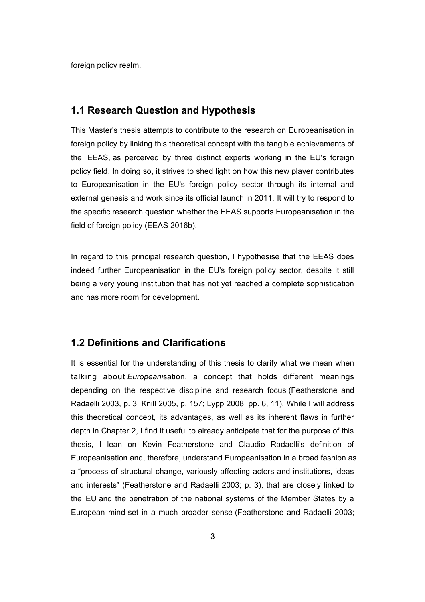foreign policy realm.

#### **1.1 Research Question and Hypothesis**

This Master's thesis attempts to contribute to the research on Europeanisation in foreign policy by linking this theoretical concept with the tangible achievements of the EEAS, as perceived by three distinct experts working in the EU's foreign policy field. In doing so, it strives to shed light on how this new player contributes to Europeanisation in the EU's foreign policy sector through its internal and external genesis and work since its official launch in 2011. It will try to respond to the specific research question whether the EEAS supports Europeanisation in the field of foreign policy (EEAS 2016b).

In regard to this principal research question, I hypothesise that the EEAS does indeed further Europeanisation in the EU's foreign policy sector, despite it still being a very young institution that has not yet reached a complete sophistication and has more room for development.

### **1.2 Definitions and Clarifications**

It is essential for the understanding of this thesis to clarify what we mean when talking about *Europeani*sation, a concept that holds different meanings depending on the respective discipline and research focus (Featherstone and Radaelli 2003, p. 3; Knill 2005, p. 157; Lypp 2008, pp. 6, 11). While I will address this theoretical concept, its advantages, as well as its inherent flaws in further depth in Chapter 2, I find it useful to already anticipate that for the purpose of this thesis, I lean on Kevin Featherstone and Claudio Radaelli's definition of Europeanisation and, therefore, understand Europeanisation in a broad fashion as a "process of structural change, variously affecting actors and institutions, ideas and interests" (Featherstone and Radaelli 2003; p. 3), that are closely linked to the EU and the penetration of the national systems of the Member States by a European mind-set in a much broader sense (Featherstone and Radaelli 2003;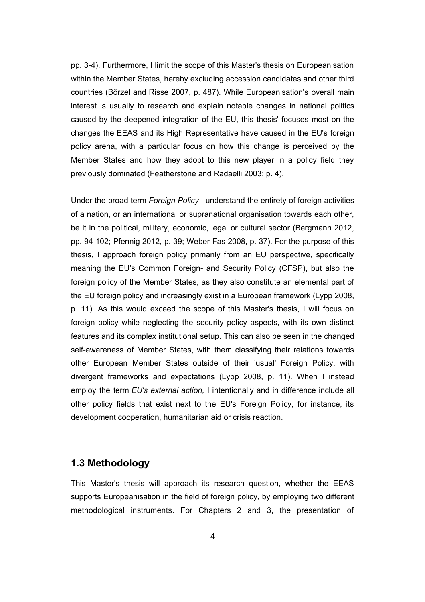pp. 3-4). Furthermore, I limit the scope of this Master's thesis on Europeanisation within the Member States, hereby excluding accession candidates and other third countries (Börzel and Risse 2007, p. 487). While Europeanisation's overall main interest is usually to research and explain notable changes in national politics caused by the deepened integration of the EU, this thesis' focuses most on the changes the EEAS and its High Representative have caused in the EU's foreign policy arena, with a particular focus on how this change is perceived by the Member States and how they adopt to this new player in a policy field they previously dominated (Featherstone and Radaelli 2003; p. 4).

Under the broad term *Foreign Policy* I understand the entirety of foreign activities of a nation, or an international or supranational organisation towards each other, be it in the political, military, economic, legal or cultural sector (Bergmann 2012, pp. 94-102; Pfennig 2012, p. 39; Weber-Fas 2008, p. 37). For the purpose of this thesis, I approach foreign policy primarily from an EU perspective, specifically meaning the EU's Common Foreign- and Security Policy (CFSP), but also the foreign policy of the Member States, as they also constitute an elemental part of the EU foreign policy and increasingly exist in a European framework (Lypp 2008, p. 11). As this would exceed the scope of this Master's thesis, I will focus on foreign policy while neglecting the security policy aspects, with its own distinct features and its complex institutional setup. This can also be seen in the changed self-awareness of Member States, with them classifying their relations towards other European Member States outside of their 'usual' Foreign Policy, with divergent frameworks and expectations (Lypp 2008, p. 11). When I instead employ the term *EU's external action,* I intentionally and in difference include all other policy fields that exist next to the EU's Foreign Policy, for instance, its development cooperation, humanitarian aid or crisis reaction.

#### **1.3 Methodology**

This Master's thesis will approach its research question, whether the EEAS supports Europeanisation in the field of foreign policy, by employing two different methodological instruments. For Chapters 2 and 3, the presentation of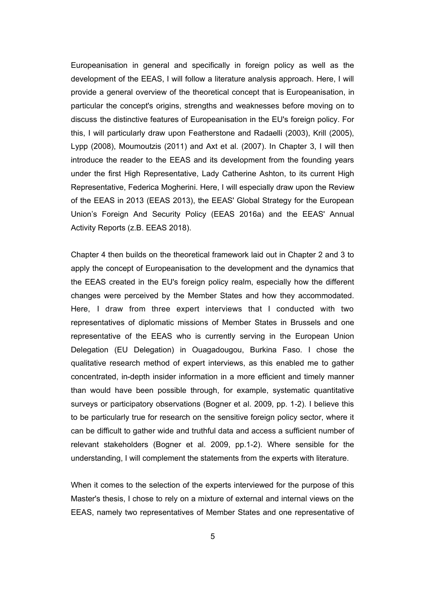Europeanisation in general and specifically in foreign policy as well as the development of the EEAS, I will follow a literature analysis approach. Here, I will provide a general overview of the theoretical concept that is Europeanisation, in particular the concept's origins, strengths and weaknesses before moving on to discuss the distinctive features of Europeanisation in the EU's foreign policy. For this, I will particularly draw upon Featherstone and Radaelli (2003), Krill (2005), Lypp (2008), Moumoutzis (2011) and Axt et al. (2007). In Chapter 3, I will then introduce the reader to the EEAS and its development from the founding years under the first High Representative, Lady Catherine Ashton, to its current High Representative, Federica Mogherini. Here, I will especially draw upon the Review of the EEAS in 2013 (EEAS 2013), the EEAS' Global Strategy for the European Union's Foreign And Security Policy (EEAS 2016a) and the EEAS' Annual Activity Reports (z.B. EEAS 2018).

Chapter 4 then builds on the theoretical framework laid out in Chapter 2 and 3 to apply the concept of Europeanisation to the development and the dynamics that the EEAS created in the EU's foreign policy realm, especially how the different changes were perceived by the Member States and how they accommodated. Here, I draw from three expert interviews that I conducted with two representatives of diplomatic missions of Member States in Brussels and one representative of the EEAS who is currently serving in the European Union Delegation (EU Delegation) in Ouagadougou, Burkina Faso. I chose the qualitative research method of expert interviews, as this enabled me to gather concentrated, in-depth insider information in a more efficient and timely manner than would have been possible through, for example, systematic quantitative surveys or participatory observations (Bogner et al. 2009, pp. 1-2). I believe this to be particularly true for research on the sensitive foreign policy sector, where it can be difficult to gather wide and truthful data and access a sufficient number of relevant stakeholders (Bogner et al. 2009, pp.1-2). Where sensible for the understanding, I will complement the statements from the experts with literature.

When it comes to the selection of the experts interviewed for the purpose of this Master's thesis, I chose to rely on a mixture of external and internal views on the EEAS, namely two representatives of Member States and one representative of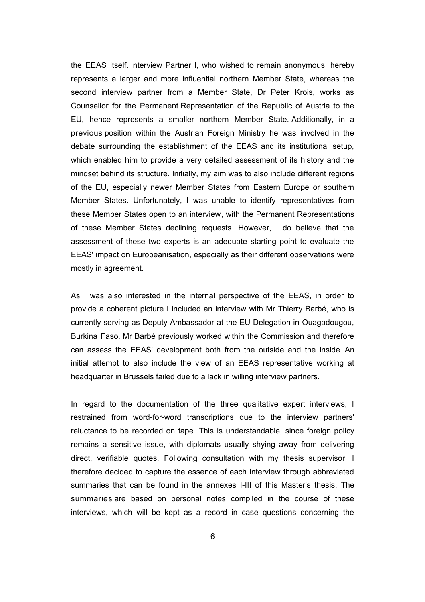the EEAS itself. Interview Partner I, who wished to remain anonymous, hereby represents a larger and more influential northern Member State, whereas the second interview partner from a Member State, Dr Peter Krois, works as Counsellor for the Permanent Representation of the Republic of Austria to the EU, hence represents a smaller northern Member State. Additionally, in a previous position within the Austrian Foreign Ministry he was involved in the debate surrounding the establishment of the EEAS and its institutional setup, which enabled him to provide a very detailed assessment of its history and the mindset behind its structure. Initially, my aim was to also include different regions of the EU, especially newer Member States from Eastern Europe or southern Member States. Unfortunately, I was unable to identify representatives from these Member States open to an interview, with the Permanent Representations of these Member States declining requests. However, I do believe that the assessment of these two experts is an adequate starting point to evaluate the EEAS' impact on Europeanisation, especially as their different observations were mostly in agreement.

As I was also interested in the internal perspective of the EEAS, in order to provide a coherent picture I included an interview with Mr Thierry Barbé, who is currently serving as Deputy Ambassador at the EU Delegation in Ouagadougou, Burkina Faso. Mr Barbé previously worked within the Commission and therefore can assess the EEAS' development both from the outside and the inside. An initial attempt to also include the view of an EEAS representative working at headquarter in Brussels failed due to a lack in willing interview partners.

In regard to the documentation of the three qualitative expert interviews, I restrained from word-for-word transcriptions due to the interview partners' reluctance to be recorded on tape. This is understandable, since foreign policy remains a sensitive issue, with diplomats usually shying away from delivering direct, verifiable quotes. Following consultation with my thesis supervisor, I therefore decided to capture the essence of each interview through abbreviated summaries that can be found in the annexes I-III of this Master's thesis. The summaries are based on personal notes compiled in the course of these interviews, which will be kept as a record in case questions concerning the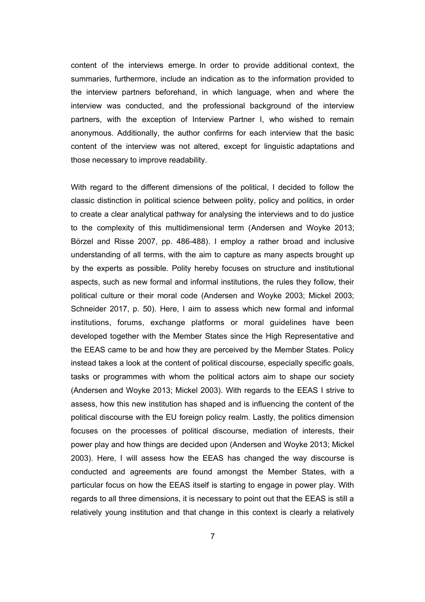content of the interviews emerge. In order to provide additional context, the summaries, furthermore, include an indication as to the information provided to the interview partners beforehand, in which language, when and where the interview was conducted, and the professional background of the interview partners, with the exception of Interview Partner I, who wished to remain anonymous. Additionally, the author confirms for each interview that the basic content of the interview was not altered, except for linguistic adaptations and those necessary to improve readability.

With regard to the different dimensions of the political, I decided to follow the classic distinction in political science between polity, policy and politics, in order to create a clear analytical pathway for analysing the interviews and to do justice to the complexity of this multidimensional term (Andersen and Woyke 2013; Börzel and Risse 2007, pp. 486-488). I employ a rather broad and inclusive understanding of all terms, with the aim to capture as many aspects brought up by the experts as possible. Polity hereby focuses on structure and institutional aspects, such as new formal and informal institutions, the rules they follow, their political culture or their moral code (Andersen and Woyke 2003; Mickel 2003; Schneider 2017, p. 50). Here, I aim to assess which new formal and informal institutions, forums, exchange platforms or moral guidelines have been developed together with the Member States since the High Representative and the EEAS came to be and how they are perceived by the Member States. Policy instead takes a look at the content of political discourse, especially specific goals, tasks or programmes with whom the political actors aim to shape our society (Andersen and Woyke 2013; Mickel 2003). With regards to the EEAS I strive to assess, how this new institution has shaped and is influencing the content of the political discourse with the EU foreign policy realm. Lastly, the politics dimension focuses on the processes of political discourse, mediation of interests, their power play and how things are decided upon (Andersen and Woyke 2013; Mickel 2003). Here, I will assess how the EEAS has changed the way discourse is conducted and agreements are found amongst the Member States, with a particular focus on how the EEAS itself is starting to engage in power play. With regards to all three dimensions, it is necessary to point out that the EEAS is still a relatively young institution and that change in this context is clearly a relatively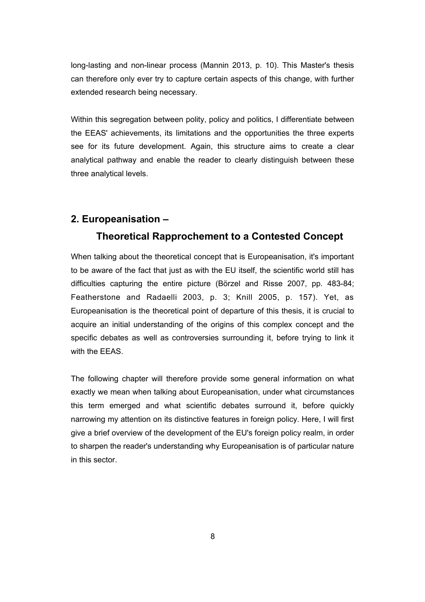long-lasting and non-linear process (Mannin 2013, p. 10). This Master's thesis can therefore only ever try to capture certain aspects of this change, with further extended research being necessary.

Within this segregation between polity, policy and politics, I differentiate between the EEAS' achievements, its limitations and the opportunities the three experts see for its future development. Again, this structure aims to create a clear analytical pathway and enable the reader to clearly distinguish between these three analytical levels.

#### **2. Europeanisation –**

#### **Theoretical Rapprochement to a Contested Concept**

When talking about the theoretical concept that is Europeanisation, it's important to be aware of the fact that just as with the EU itself, the scientific world still has difficulties capturing the entire picture (Börzel and Risse 2007, pp. 483-84; Featherstone and Radaelli 2003, p. 3; Knill 2005, p. 157). Yet, as Europeanisation is the theoretical point of departure of this thesis, it is crucial to acquire an initial understanding of the origins of this complex concept and the specific debates as well as controversies surrounding it, before trying to link it with the FFAS

The following chapter will therefore provide some general information on what exactly we mean when talking about Europeanisation, under what circumstances this term emerged and what scientific debates surround it, before quickly narrowing my attention on its distinctive features in foreign policy. Here, I will first give a brief overview of the development of the EU's foreign policy realm, in order to sharpen the reader's understanding why Europeanisation is of particular nature in this sector.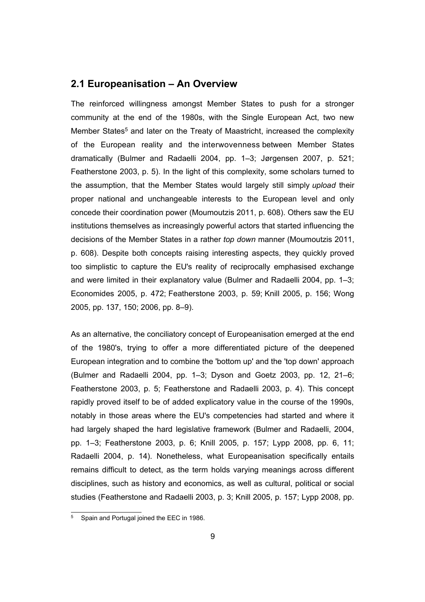#### **2.1 Europeanisation – An Overview**

The reinforced willingness amongst Member States to push for a stronger community at the end of the 1980s, with the Single European Act, two new Member States<sup>[5](#page-14-0)</sup> and later on the Treaty of Maastricht, increased the complexity of the European reality and the interwovenness between Member States dramatically (Bulmer and Radaelli 2004, pp. 1–3; Jørgensen 2007, p. 521; Featherstone 2003, p. 5). In the light of this complexity, some scholars turned to the assumption, that the Member States would largely still simply *upload* their proper national and unchangeable interests to the European level and only concede their coordination power (Moumoutzis 2011, p. 608). Others saw the EU institutions themselves as increasingly powerful actors that started influencing the decisions of the Member States in a rather *top down* manner (Moumoutzis 2011, p. 608). Despite both concepts raising interesting aspects, they quickly proved too simplistic to capture the EU's reality of reciprocally emphasised exchange and were limited in their explanatory value (Bulmer and Radaelli 2004, pp. 1–3; Economides 2005, p. 472; Featherstone 2003, p. 59; Knill 2005, p. 156; Wong 2005, pp. 137, 150; 2006, pp. 8–9).

As an alternative, the conciliatory concept of Europeanisation emerged at the end of the 1980's, trying to offer a more differentiated picture of the deepened European integration and to combine the 'bottom up' and the 'top down' approach (Bulmer and Radaelli 2004, pp. 1–3; Dyson and Goetz 2003, pp. 12, 21–6; Featherstone 2003, p. 5; Featherstone and Radaelli 2003, p. 4). This concept rapidly proved itself to be of added explicatory value in the course of the 1990s, notably in those areas where the EU's competencies had started and where it had largely shaped the hard legislative framework (Bulmer and Radaelli, 2004, pp. 1–3; Featherstone 2003, p. 6; Knill 2005, p. 157; Lypp 2008, pp. 6, 11; Radaelli 2004, p. 14). Nonetheless, what Europeanisation specifically entails remains difficult to detect, as the term holds varying meanings across different disciplines, such as history and economics, as well as cultural, political or social studies (Featherstone and Radaelli 2003, p. 3; Knill 2005, p. 157; Lypp 2008, pp.

<span id="page-14-0"></span><sup>&</sup>lt;sup>5</sup> Spain and Portugal joined the EEC in 1986.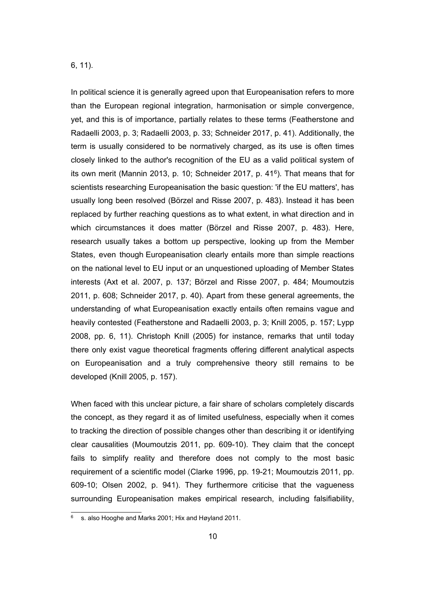#### 6, 11).

In political science it is generally agreed upon that Europeanisation refers to more than the European regional integration, harmonisation or simple convergence, yet, and this is of importance, partially relates to these terms (Featherstone and Radaelli 2003, p. 3; Radaelli 2003, p. 33; Schneider 2017, p. 41). Additionally, the term is usually considered to be normatively charged, as its use is often times closely linked to the author's recognition of the EU as a valid political system of its own merit (Mannin 2013, p. 10; Schneider 2017, p. 41<sup>[6](#page-15-0)</sup>). That means that for scientists researching Europeanisation the basic question: 'if the EU matters', has usually long been resolved (Börzel and Risse 2007, p. 483). Instead it has been replaced by further reaching questions as to what extent, in what direction and in which circumstances it does matter (Börzel and Risse 2007, p. 483). Here, research usually takes a bottom up perspective, looking up from the Member States, even though Europeanisation clearly entails more than simple reactions on the national level to EU input or an unquestioned uploading of Member States interests (Axt et al. 2007, p. 137; Börzel and Risse 2007, p. 484; Moumoutzis 2011, p. 608; Schneider 2017, p. 40). Apart from these general agreements, the understanding of what Europeanisation exactly entails often remains vague and heavily contested (Featherstone and Radaelli 2003, p. 3; Knill 2005, p. 157; Lypp 2008, pp. 6, 11). Christoph Knill (2005) for instance, remarks that until today there only exist vague theoretical fragments offering different analytical aspects on Europeanisation and a truly comprehensive theory still remains to be developed (Knill 2005, p. 157).

When faced with this unclear picture, a fair share of scholars completely discards the concept, as they regard it as of limited usefulness, especially when it comes to tracking the direction of possible changes other than describing it or identifying clear causalities (Moumoutzis 2011, pp. 609-10). They claim that the concept fails to simplify reality and therefore does not comply to the most basic requirement of a scientific model (Clarke 1996, pp. 19-21; Moumoutzis 2011, pp. 609-10; Olsen 2002, p. 941). They furthermore criticise that the vagueness surrounding Europeanisation makes empirical research, including falsifiability,

<span id="page-15-0"></span> $6$  s. also Hooghe and Marks 2001; Hix and Høyland 2011.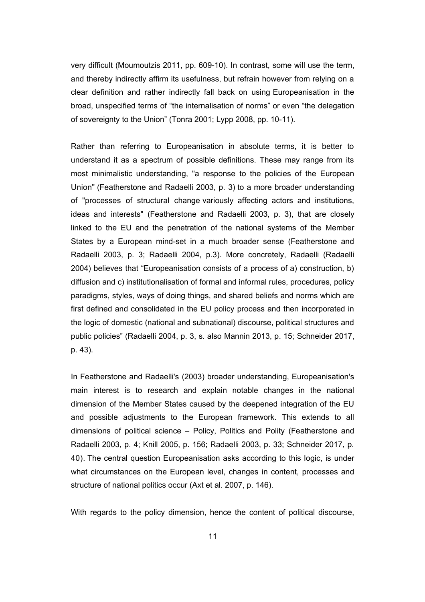very difficult (Moumoutzis 2011, pp. 609-10). In contrast, some will use the term, and thereby indirectly affirm its usefulness, but refrain however from relying on a clear definition and rather indirectly fall back on using Europeanisation in the broad, unspecified terms of "the internalisation of norms" or even "the delegation of sovereignty to the Union" (Tonra 2001; Lypp 2008, pp. 10-11).

Rather than referring to Europeanisation in absolute terms, it is better to understand it as a spectrum of possible definitions. These may range from its most minimalistic understanding, "a response to the policies of the European Union" (Featherstone and Radaelli 2003, p. 3) to a more broader understanding of "processes of structural change variously affecting actors and institutions, ideas and interests" (Featherstone and Radaelli 2003, p. 3), that are closely linked to the EU and the penetration of the national systems of the Member States by a European mind-set in a much broader sense (Featherstone and Radaelli 2003, p. 3; Radaelli 2004, p.3). More concretely, Radaelli (Radaelli 2004) believes that "Europeanisation consists of a process of a) construction, b) diffusion and c) institutionalisation of formal and informal rules, procedures, policy paradigms, styles, ways of doing things, and shared beliefs and norms which are first defined and consolidated in the EU policy process and then incorporated in the logic of domestic (national and subnational) discourse, political structures and public policies" (Radaelli 2004, p. 3, s. also Mannin 2013, p. 15; Schneider 2017, p. 43).

In Featherstone and Radaelli's (2003) broader understanding, Europeanisation's main interest is to research and explain notable changes in the national dimension of the Member States caused by the deepened integration of the EU and possible adjustments to the European framework. This extends to all dimensions of political science – Policy, Politics and Polity (Featherstone and Radaelli 2003, p. 4; Knill 2005, p. 156; Radaelli 2003, p. 33; Schneider 2017, p. 40). The central question Europeanisation asks according to this logic, is under what circumstances on the European level, changes in content, processes and structure of national politics occur (Axt et al. 2007, p. 146).

With regards to the policy dimension, hence the content of political discourse,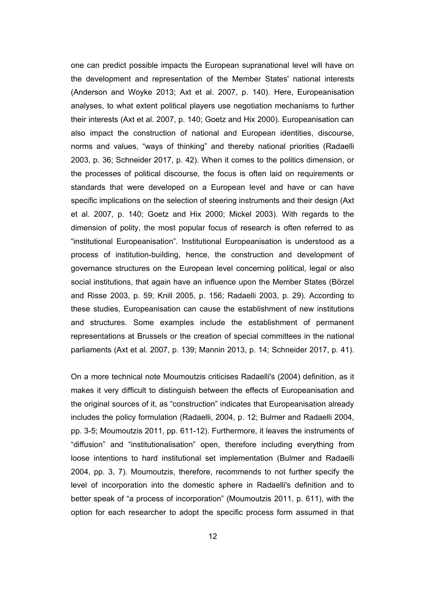one can predict possible impacts the European supranational level will have on the development and representation of the Member States' national interests (Anderson and Woyke 2013; Axt et al. 2007, p. 140). Here, Europeanisation analyses, to what extent political players use negotiation mechanisms to further their interests (Axt et al. 2007, p. 140; Goetz and Hix 2000). Europeanisation can also impact the construction of national and European identities, discourse, norms and values, "ways of thinking" and thereby national priorities (Radaelli 2003, p. 36; Schneider 2017, p. 42). When it comes to the politics dimension, or the processes of political discourse, the focus is often laid on requirements or standards that were developed on a European level and have or can have specific implications on the selection of steering instruments and their design (Axt et al. 2007, p. 140; Goetz and Hix 2000; Mickel 2003). With regards to the dimension of polity, the most popular focus of research is often referred to as "institutional Europeanisation". Institutional Europeanisation is understood as a process of institution-building, hence, the construction and development of governance structures on the European level concerning political, legal or also social institutions, that again have an influence upon the Member States (Börzel and Risse 2003, p. 59; Knill 2005, p. 156; Radaelli 2003, p. 29). According to these studies, Europeanisation can cause the establishment of new institutions and structures. Some examples include the establishment of permanent representations at Brussels or the creation of special committees in the national parliaments (Axt et al. 2007, p. 139; Mannin 2013, p. 14; Schneider 2017, p. 41).

On a more technical note Moumoutzis criticises Radaelli's (2004) definition, as it makes it very difficult to distinguish between the effects of Europeanisation and the original sources of it, as "construction" indicates that Europeanisation already includes the policy formulation (Radaelli, 2004, p. 12; Bulmer and Radaelli 2004, pp. 3-5; Moumoutzis 2011, pp. 611-12). Furthermore, it leaves the instruments of "diffusion" and "institutionalisation" open, therefore including everything from loose intentions to hard institutional set implementation (Bulmer and Radaelli 2004, pp. 3, 7). Moumoutzis, therefore, recommends to not further specify the level of incorporation into the domestic sphere in Radaelli's definition and to better speak of "a process of incorporation" (Moumoutzis 2011, p. 611), with the option for each researcher to adopt the specific process form assumed in that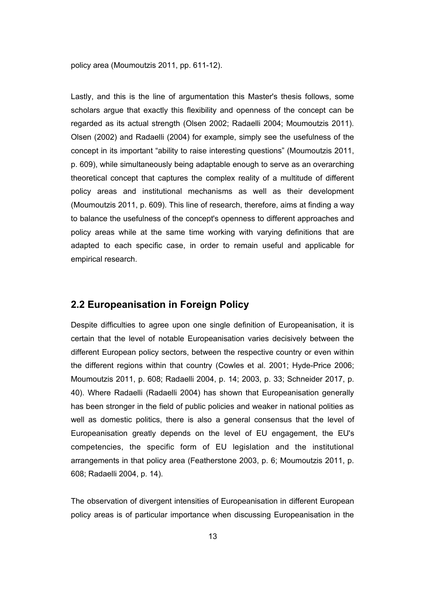policy area (Moumoutzis 2011, pp. 611-12).

Lastly, and this is the line of argumentation this Master's thesis follows, some scholars argue that exactly this flexibility and openness of the concept can be regarded as its actual strength (Olsen 2002; Radaelli 2004; Moumoutzis 2011). Olsen (2002) and Radaelli (2004) for example, simply see the usefulness of the concept in its important "ability to raise interesting questions" (Moumoutzis 2011, p. 609), while simultaneously being adaptable enough to serve as an overarching theoretical concept that captures the complex reality of a multitude of different policy areas and institutional mechanisms as well as their development (Moumoutzis 2011, p. 609). This line of research, therefore, aims at finding a way to balance the usefulness of the concept's openness to different approaches and policy areas while at the same time working with varying definitions that are adapted to each specific case, in order to remain useful and applicable for empirical research.

#### **2.2 Europeanisation in Foreign Policy**

Despite difficulties to agree upon one single definition of Europeanisation, it is certain that the level of notable Europeanisation varies decisively between the different European policy sectors, between the respective country or even within the different regions within that country (Cowles et al. 2001; Hyde-Price 2006; Moumoutzis 2011, p. 608; Radaelli 2004, p. 14; 2003, p. 33; Schneider 2017, p. 40). Where Radaelli (Radaelli 2004) has shown that Europeanisation generally has been stronger in the field of public policies and weaker in national polities as well as domestic politics, there is also a general consensus that the level of Europeanisation greatly depends on the level of EU engagement, the EU's competencies, the specific form of EU legislation and the institutional arrangements in that policy area (Featherstone 2003, p. 6; Moumoutzis 2011, p. 608; Radaelli 2004, p. 14).

The observation of divergent intensities of Europeanisation in different European policy areas is of particular importance when discussing Europeanisation in the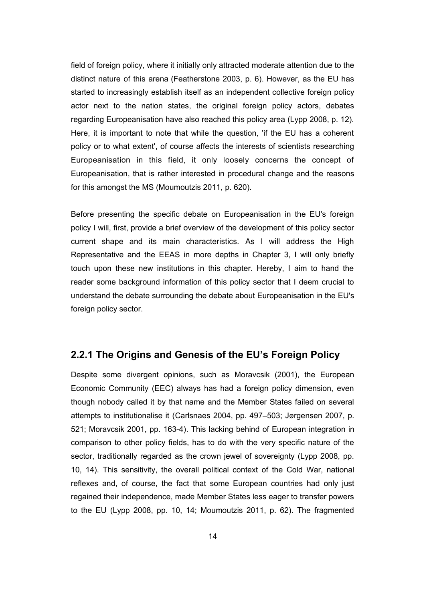field of foreign policy, where it initially only attracted moderate attention due to the distinct nature of this arena (Featherstone 2003, p. 6). However, as the EU has started to increasingly establish itself as an independent collective foreign policy actor next to the nation states, the original foreign policy actors, debates regarding Europeanisation have also reached this policy area (Lypp 2008, p. 12). Here, it is important to note that while the question, 'if the EU has a coherent policy or to what extent', of course affects the interests of scientists researching Europeanisation in this field, it only loosely concerns the concept of Europeanisation, that is rather interested in procedural change and the reasons for this amongst the MS (Moumoutzis 2011, p. 620).

Before presenting the specific debate on Europeanisation in the EU's foreign policy I will, first, provide a brief overview of the development of this policy sector current shape and its main characteristics. As I will address the High Representative and the EEAS in more depths in Chapter 3, I will only briefly touch upon these new institutions in this chapter. Hereby, I aim to hand the reader some background information of this policy sector that I deem crucial to understand the debate surrounding the debate about Europeanisation in the EU's foreign policy sector.

#### **2.2.1 The Origins and Genesis of the EU's Foreign Policy**

Despite some divergent opinions, such as Moravcsik (2001), the European Economic Community (EEC) always has had a foreign policy dimension, even though nobody called it by that name and the Member States failed on several attempts to institutionalise it (Carlsnaes 2004, pp. 497–503; Jørgensen 2007, p. 521; Moravcsik 2001, pp. 163-4). This lacking behind of European integration in comparison to other policy fields, has to do with the very specific nature of the sector, traditionally regarded as the crown jewel of sovereignty (Lypp 2008, pp. 10, 14). This sensitivity, the overall political context of the Cold War, national reflexes and, of course, the fact that some European countries had only just regained their independence, made Member States less eager to transfer powers to the EU (Lypp 2008, pp. 10, 14; Moumoutzis 2011, p. 62). The fragmented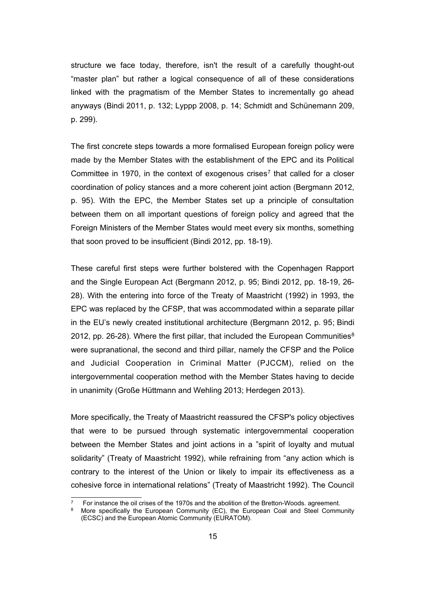structure we face today, therefore, isn't the result of a carefully thought-out "master plan" but rather a logical consequence of all of these considerations linked with the pragmatism of the Member States to incrementally go ahead anyways (Bindi 2011, p. 132; Lyppp 2008, p. 14; Schmidt and Schünemann 209, p. 299).

The first concrete steps towards a more formalised European foreign policy were made by the Member States with the establishment of the EPC and its Political Committee in 19[7](#page-20-0)0, in the context of exogenous crises<sup>7</sup> that called for a closer coordination of policy stances and a more coherent joint action (Bergmann 2012, p. 95). With the EPC, the Member States set up a principle of consultation between them on all important questions of foreign policy and agreed that the Foreign Ministers of the Member States would meet every six months, something that soon proved to be insufficient (Bindi 2012, pp. 18-19).

These careful first steps were further bolstered with the Copenhagen Rapport and the Single European Act (Bergmann 2012, p. 95; Bindi 2012, pp. 18-19, 26- 28). With the entering into force of the Treaty of Maastricht (1992) in 1993, the EPC was replaced by the CFSP, that was accommodated within a separate pillar in the EU's newly created institutional architecture (Bergmann 2012, p. 95; Bindi 2012, pp. 26-2[8](#page-20-1)). Where the first pillar, that included the European Communities $8$ were supranational, the second and third pillar, namely the CFSP and the Police and Judicial Cooperation in Criminal Matter (PJCCM), relied on the intergovernmental cooperation method with the Member States having to decide in unanimity (Große Hüttmann and Wehling 2013; Herdegen 2013).

More specifically, the Treaty of Maastricht reassured the CFSP's policy objectives that were to be pursued through systematic intergovernmental cooperation between the Member States and joint actions in a "spirit of loyalty and mutual solidarity" (Treaty of Maastricht 1992), while refraining from "any action which is contrary to the interest of the Union or likely to impair its effectiveness as a cohesive force in international relations" (Treaty of Maastricht 1992). The Council

<span id="page-20-0"></span>For instance the oil crises of the 1970s and the abolition of the Bretton-Woods. agreement.

<span id="page-20-1"></span>More specifically the European Community (EC), the European Coal and Steel Community (ECSC) and the European Atomic Community (EURATOM).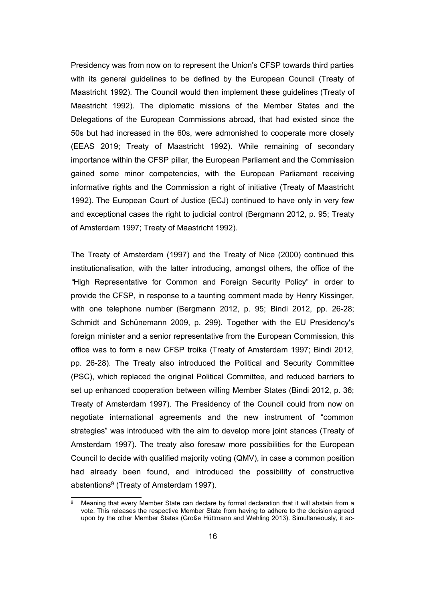Presidency was from now on to represent the Union's CFSP towards third parties with its general guidelines to be defined by the European Council (Treaty of Maastricht 1992). The Council would then implement these guidelines (Treaty of Maastricht 1992). The diplomatic missions of the Member States and the Delegations of the European Commissions abroad, that had existed since the 50s but had increased in the 60s, were admonished to cooperate more closely (EEAS 2019; Treaty of Maastricht 1992). While remaining of secondary importance within the CFSP pillar, the European Parliament and the Commission gained some minor competencies, with the European Parliament receiving informative rights and the Commission a right of initiative (Treaty of Maastricht 1992). The European Court of Justice (ECJ) continued to have only in very few and exceptional cases the right to judicial control (Bergmann 2012, p. 95; Treaty of Amsterdam 1997; Treaty of Maastricht 1992).

The Treaty of Amsterdam (1997) and the Treaty of Nice (2000) continued this institutionalisation, with the latter introducing, amongst others, the office of the *"*High Representative for Common and Foreign Security Policy" in order to provide the CFSP, in response to a taunting comment made by Henry Kissinger, with one telephone number (Bergmann 2012, p. 95; Bindi 2012, pp. 26-28; Schmidt and Schünemann 2009, p. 299). Together with the EU Presidency's foreign minister and a senior representative from the European Commission, this office was to form a new CFSP troika (Treaty of Amsterdam 1997; Bindi 2012, pp. 26-28). The Treaty also introduced the Political and Security Committee (PSC), which replaced the original Political Committee, and reduced barriers to set up enhanced cooperation between willing Member States (Bindi 2012, p. 36; Treaty of Amsterdam 1997). The Presidency of the Council could from now on negotiate international agreements and the new instrument of "common strategies" was introduced with the aim to develop more joint stances (Treaty of Amsterdam 1997). The treaty also foresaw more possibilities for the European Council to decide with qualified majority voting (QMV), in case a common position had already been found, and introduced the possibility of constructive abstentions<sup>[9](#page-21-0)</sup> (Treaty of Amsterdam 1997).

<span id="page-21-0"></span>Meaning that every Member State can declare by formal declaration that it will abstain from a vote. This releases the respective Member State from having to adhere to the decision agreed upon by the other Member States (Große Hüttmann and Wehling 2013). Simultaneously, it ac-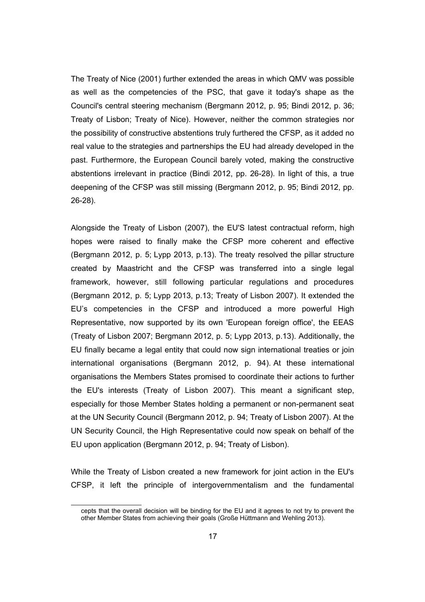The Treaty of Nice (2001) further extended the areas in which QMV was possible as well as the competencies of the PSC, that gave it today's shape as the Council's central steering mechanism (Bergmann 2012, p. 95; Bindi 2012, p. 36; Treaty of Lisbon; Treaty of Nice). However, neither the common strategies nor the possibility of constructive abstentions truly furthered the CFSP, as it added no real value to the strategies and partnerships the EU had already developed in the past. Furthermore, the European Council barely voted, making the constructive abstentions irrelevant in practice (Bindi 2012, pp. 26-28). In light of this, a true deepening of the CFSP was still missing (Bergmann 2012, p. 95; Bindi 2012, pp. 26-28).

Alongside the Treaty of Lisbon (2007), the EU'S latest contractual reform, high hopes were raised to finally make the CFSP more coherent and effective (Bergmann 2012, p. 5; Lypp 2013, p.13). The treaty resolved the pillar structure created by Maastricht and the CFSP was transferred into a single legal framework, however, still following particular regulations and procedures (Bergmann 2012, p. 5; Lypp 2013, p.13; Treaty of Lisbon 2007). It extended the EU's competencies in the CFSP and introduced a more powerful High Representative, now supported by its own 'European foreign office', the EEAS (Treaty of Lisbon 2007; Bergmann 2012, p. 5; Lypp 2013, p.13). Additionally, the EU finally became a legal entity that could now sign international treaties or join international organisations (Bergmann 2012, p. 94). At these international organisations the Members States promised to coordinate their actions to further the EU's interests (Treaty of Lisbon 2007). This meant a significant step, especially for those Member States holding a permanent or non-permanent seat at the UN Security Council (Bergmann 2012, p. 94; Treaty of Lisbon 2007). At the UN Security Council, the High Representative could now speak on behalf of the EU upon application (Bergmann 2012, p. 94; Treaty of Lisbon).

While the Treaty of Lisbon created a new framework for joint action in the EU's CFSP, it left the principle of intergovernmentalism and the fundamental

cepts that the overall decision will be binding for the EU and it agrees to not try to prevent the other Member States from achieving their goals (Große Hüttmann and Wehling 2013).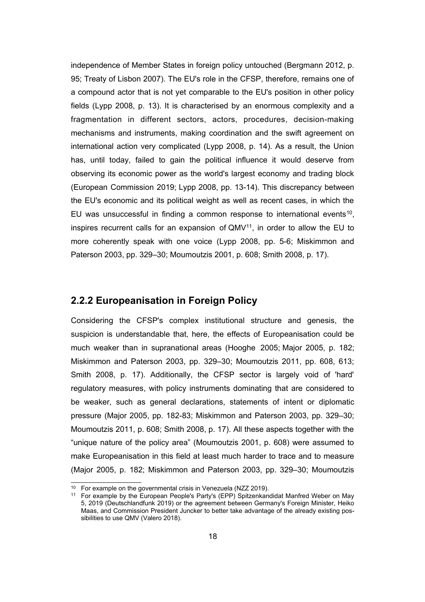independence of Member States in foreign policy untouched (Bergmann 2012, p. 95; Treaty of Lisbon 2007). The EU's role in the CFSP, therefore, remains one of a compound actor that is not yet comparable to the EU's position in other policy fields (Lypp 2008, p. 13). It is characterised by an enormous complexity and a fragmentation in different sectors, actors, procedures, decision-making mechanisms and instruments, making coordination and the swift agreement on international action very complicated (Lypp 2008, p. 14). As a result, the Union has, until today, failed to gain the political influence it would deserve from observing its economic power as the world's largest economy and trading block (European Commission 2019; Lypp 2008, pp. 13-14). This discrepancy between the EU's economic and its political weight as well as recent cases, in which the EU was unsuccessful in finding a common response to international events<sup>[10](#page-23-0)</sup>, inspires recurrent calls for an expansion of  $QMV<sup>11</sup>$  $QMV<sup>11</sup>$  $QMV<sup>11</sup>$ , in order to allow the EU to more coherently speak with one voice (Lypp 2008, pp. 5-6; Miskimmon and Paterson 2003, pp. 329–30; Moumoutzis 2001, p. 608; Smith 2008, p. 17).

#### **2.2.2 Europeanisation in Foreign Policy**

Considering the CFSP's complex institutional structure and genesis, the suspicion is understandable that, here, the effects of Europeanisation could be much weaker than in supranational areas (Hooghe 2005; Major 2005, p. 182; Miskimmon and Paterson 2003, pp. 329–30; Moumoutzis 2011, pp. 608, 613; Smith 2008, p. 17). Additionally, the CFSP sector is largely void of 'hard' regulatory measures, with policy instruments dominating that are considered to be weaker, such as general declarations, statements of intent or diplomatic pressure (Major 2005, pp. 182-83; Miskimmon and Paterson 2003, pp. 329–30; Moumoutzis 2011, p. 608; Smith 2008, p. 17). All these aspects together with the "unique nature of the policy area" (Moumoutzis 2001, p. 608) were assumed to make Europeanisation in this field at least much harder to trace and to measure (Major 2005, p. 182; Miskimmon and Paterson 2003, pp. 329–30; Moumoutzis

<span id="page-23-0"></span><sup>10</sup> For example on the governmental crisis in Venezuela (NZZ 2019).

<span id="page-23-1"></span><sup>11</sup> For example by the European People's Party's (EPP) Spitzenkandidat Manfred Weber on May 5, 2019 (Deutschlandfunk 2019) or the agreement between Germany's Foreign Minister, Heiko Maas, and Commission President Juncker to better take advantage of the already existing possibilities to use QMV (Valero 2018).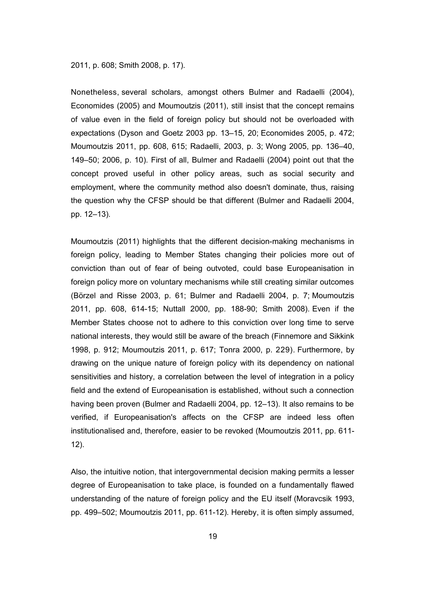#### 2011, p. 608; Smith 2008, p. 17).

Nonetheless, several scholars, amongst others Bulmer and Radaelli (2004), Economides (2005) and Moumoutzis (2011), still insist that the concept remains of value even in the field of foreign policy but should not be overloaded with expectations (Dyson and Goetz 2003 pp. 13–15, 20; Economides 2005, p. 472; Moumoutzis 2011, pp. 608, 615; Radaelli, 2003, p. 3; Wong 2005, pp. 136–40, 149–50; 2006, p. 10). First of all, Bulmer and Radaelli (2004) point out that the concept proved useful in other policy areas, such as social security and employment, where the community method also doesn't dominate, thus, raising the question why the CFSP should be that different (Bulmer and Radaelli 2004, pp. 12–13).

Moumoutzis (2011) highlights that the different decision-making mechanisms in foreign policy, leading to Member States changing their policies more out of conviction than out of fear of being outvoted, could base Europeanisation in foreign policy more on voluntary mechanisms while still creating similar outcomes (Börzel and Risse 2003, p. 61; Bulmer and Radaelli 2004, p. 7; Moumoutzis 2011, pp. 608, 614-15; Nuttall 2000, pp. 188-90; Smith 2008). Even if the Member States choose not to adhere to this conviction over long time to serve national interests, they would still be aware of the breach (Finnemore and Sikkink 1998, p. 912; Moumoutzis 2011, p. 617; Tonra 2000, p. 229). Furthermore, by drawing on the unique nature of foreign policy with its dependency on national sensitivities and history, a correlation between the level of integration in a policy field and the extend of Europeanisation is established, without such a connection having been proven (Bulmer and Radaelli 2004, pp. 12–13). It also remains to be verified, if Europeanisation's affects on the CFSP are indeed less often institutionalised and, therefore, easier to be revoked (Moumoutzis 2011, pp. 611- 12).

Also, the intuitive notion, that intergovernmental decision making permits a lesser degree of Europeanisation to take place, is founded on a fundamentally flawed understanding of the nature of foreign policy and the EU itself (Moravcsik 1993, pp. 499–502; Moumoutzis 2011, pp. 611-12). Hereby, it is often simply assumed,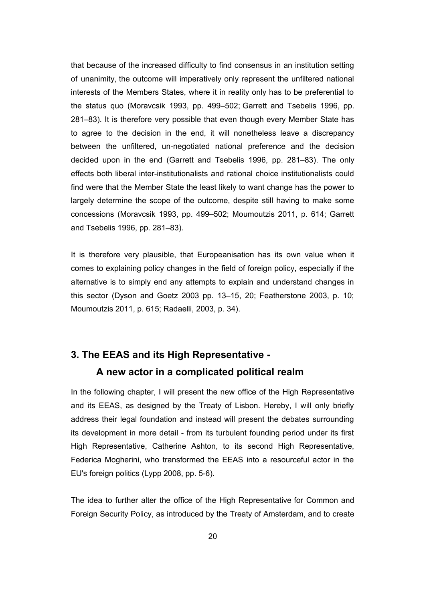that because of the increased difficulty to find consensus in an institution setting of unanimity, the outcome will imperatively only represent the unfiltered national interests of the Members States, where it in reality only has to be preferential to the status quo (Moravcsik 1993, pp. 499–502; Garrett and Tsebelis 1996, pp. 281–83). It is therefore very possible that even though every Member State has to agree to the decision in the end, it will nonetheless leave a discrepancy between the unfiltered, un-negotiated national preference and the decision decided upon in the end (Garrett and Tsebelis 1996, pp. 281–83). The only effects both liberal inter-institutionalists and rational choice institutionalists could find were that the Member State the least likely to want change has the power to largely determine the scope of the outcome, despite still having to make some concessions (Moravcsik 1993, pp. 499–502; Moumoutzis 2011, p. 614; Garrett and Tsebelis 1996, pp. 281–83).

It is therefore very plausible, that Europeanisation has its own value when it comes to explaining policy changes in the field of foreign policy, especially if the alternative is to simply end any attempts to explain and understand changes in this sector (Dyson and Goetz 2003 pp. 13–15, 20; Featherstone 2003, p. 10; Moumoutzis 2011, p. 615; Radaelli, 2003, p. 34).

## **3. The EEAS and its High Representative - A new actor in a complicated political realm**

In the following chapter, I will present the new office of the High Representative and its EEAS, as designed by the Treaty of Lisbon. Hereby, I will only briefly address their legal foundation and instead will present the debates surrounding its development in more detail - from its turbulent founding period under its first High Representative, Catherine Ashton, to its second High Representative, Federica Mogherini, who transformed the EEAS into a resourceful actor in the EU's foreign politics (Lypp 2008, pp. 5-6).

The idea to further alter the office of the High Representative for Common and Foreign Security Policy, as introduced by the Treaty of Amsterdam, and to create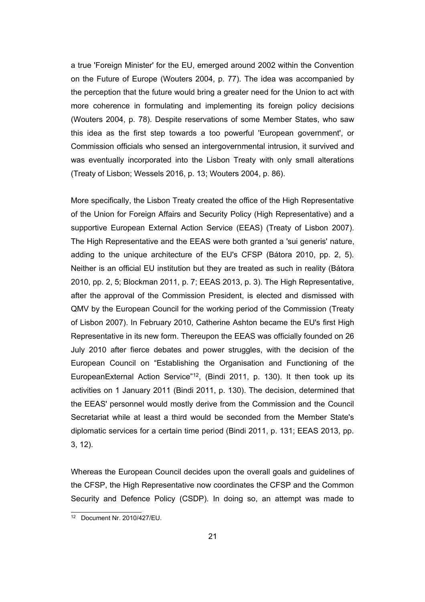a true 'Foreign Minister' for the EU, emerged around 2002 within the Convention on the Future of Europe (Wouters 2004, p. 77). The idea was accompanied by the perception that the future would bring a greater need for the Union to act with more coherence in formulating and implementing its foreign policy decisions (Wouters 2004, p. 78). Despite reservations of some Member States, who saw this idea as the first step towards a too powerful 'European government', or Commission officials who sensed an intergovernmental intrusion, it survived and was eventually incorporated into the Lisbon Treaty with only small alterations (Treaty of Lisbon; Wessels 2016, p. 13; Wouters 2004, p. 86).

More specifically, the Lisbon Treaty created the office of the High Representative of the Union for Foreign Affairs and Security Policy (High Representative) and a supportive European External Action Service (EEAS) (Treaty of Lisbon 2007). The High Representative and the EEAS were both granted a 'sui generis' nature, adding to the unique architecture of the EU's CFSP (Bátora 2010, pp. 2, 5). Neither is an official EU institution but they are treated as such in reality (Bátora 2010, pp. 2, 5; Blockman 2011, p. 7; EEAS 2013, p. 3). The High Representative, after the approval of the Commission President, is elected and dismissed with QMV by the European Council for the working period of the Commission (Treaty of Lisbon 2007). In February 2010, Catherine Ashton became the EU's first High Representative in its new form. Thereupon the EEAS was officially founded on 26 July 2010 after fierce debates and power struggles, with the decision of the European Council on "Establishing the Organisation and Functioning of the EuropeanExternal Action Service"<sup>[12](#page-26-0)</sup>, (Bindi 2011, p. 130). It then took up its activities on 1 January 2011 (Bindi 2011, p. 130). The decision, determined that the EEAS' personnel would mostly derive from the Commission and the Council Secretariat while at least a third would be seconded from the Member State's diplomatic services for a certain time period (Bindi 2011, p. 131; EEAS 2013, pp. 3, 12).

Whereas the European Council decides upon the overall goals and guidelines of the CFSP, the High Representative now coordinates the CFSP and the Common Security and Defence Policy (CSDP). In doing so, an attempt was made to

<span id="page-26-0"></span><sup>12</sup> Document Nr. 2010/427/EU.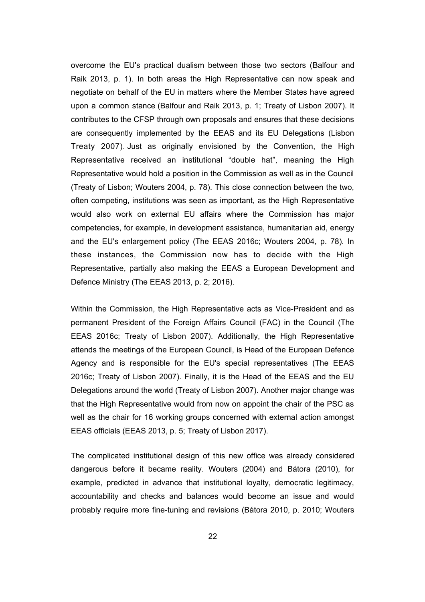overcome the EU's practical dualism between those two sectors (Balfour and Raik 2013, p. 1). In both areas the High Representative can now speak and negotiate on behalf of the EU in matters where the Member States have agreed upon a common stance (Balfour and Raik 2013, p. 1; Treaty of Lisbon 2007). It contributes to the CFSP through own proposals and ensures that these decisions are consequently implemented by the EEAS and its EU Delegations (Lisbon Treaty 2007). Just as originally envisioned by the Convention, the High Representative received an institutional "double hat", meaning the High Representative would hold a position in the Commission as well as in the Council (Treaty of Lisbon; Wouters 2004, p. 78). This close connection between the two, often competing, institutions was seen as important, as the High Representative would also work on external EU affairs where the Commission has major competencies, for example, in development assistance, humanitarian aid, energy and the EU's enlargement policy (The EEAS 2016c; Wouters 2004, p. 78). In these instances, the Commission now has to decide with the High Representative, partially also making the EEAS a European Development and Defence Ministry (The EEAS 2013, p. 2; 2016).

Within the Commission, the High Representative acts as Vice-President and as permanent President of the Foreign Affairs Council (FAC) in the Council (The EEAS 2016c; Treaty of Lisbon 2007). Additionally, the High Representative attends the meetings of the European Council, is Head of the European Defence Agency and is responsible for the EU's special representatives (The EEAS 2016c; Treaty of Lisbon 2007). Finally, it is the Head of the EEAS and the EU Delegations around the world (Treaty of Lisbon 2007). Another major change was that the High Representative would from now on appoint the chair of the PSC as well as the chair for 16 working groups concerned with external action amongst EEAS officials (EEAS 2013, p. 5; Treaty of Lisbon 2017).

The complicated institutional design of this new office was already considered dangerous before it became reality. Wouters (2004) and Bátora (2010), for example, predicted in advance that institutional loyalty, democratic legitimacy, accountability and checks and balances would become an issue and would probably require more fine-tuning and revisions (Bátora 2010, p. 2010; Wouters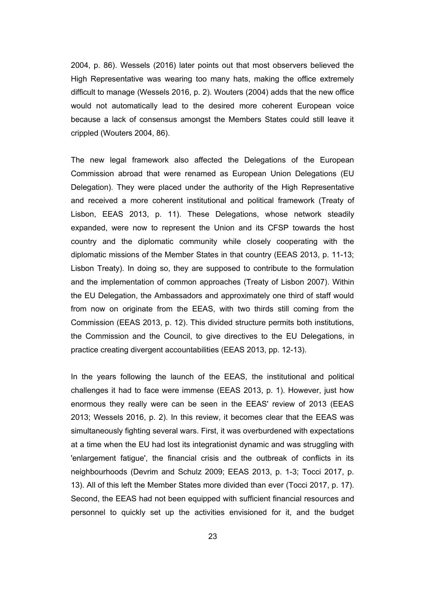2004, p. 86). Wessels (2016) later points out that most observers believed the High Representative was wearing too many hats, making the office extremely difficult to manage (Wessels 2016, p. 2). Wouters (2004) adds that the new office would not automatically lead to the desired more coherent European voice because a lack of consensus amongst the Members States could still leave it crippled (Wouters 2004, 86).

The new legal framework also affected the Delegations of the European Commission abroad that were renamed as European Union Delegations (EU Delegation). They were placed under the authority of the High Representative and received a more coherent institutional and political framework (Treaty of Lisbon, EEAS 2013, p. 11). These Delegations, whose network steadily expanded, were now to represent the Union and its CFSP towards the host country and the diplomatic community while closely cooperating with the diplomatic missions of the Member States in that country (EEAS 2013, p. 11-13; Lisbon Treaty). In doing so, they are supposed to contribute to the formulation and the implementation of common approaches (Treaty of Lisbon 2007). Within the EU Delegation, the Ambassadors and approximately one third of staff would from now on originate from the EEAS, with two thirds still coming from the Commission (EEAS 2013, p. 12). This divided structure permits both institutions, the Commission and the Council, to give directives to the EU Delegations, in practice creating divergent accountabilities (EEAS 2013, pp. 12-13).

In the years following the launch of the EEAS, the institutional and political challenges it had to face were immense (EEAS 2013, p. 1). However, just how enormous they really were can be seen in the EEAS' review of 2013 (EEAS 2013; Wessels 2016, p. 2). In this review, it becomes clear that the EEAS was simultaneously fighting several wars. First, it was overburdened with expectations at a time when the EU had lost its integrationist dynamic and was struggling with 'enlargement fatigue', the financial crisis and the outbreak of conflicts in its neighbourhoods (Devrim and Schulz 2009; EEAS 2013, p. 1-3; Tocci 2017, p. 13). All of this left the Member States more divided than ever (Tocci 2017, p. 17). Second, the EEAS had not been equipped with sufficient financial resources and personnel to quickly set up the activities envisioned for it, and the budget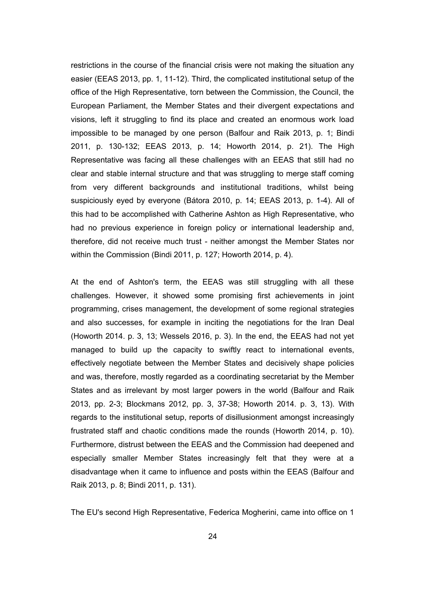restrictions in the course of the financial crisis were not making the situation any easier (EEAS 2013, pp. 1, 11-12). Third, the complicated institutional setup of the office of the High Representative, torn between the Commission, the Council, the European Parliament, the Member States and their divergent expectations and visions, left it struggling to find its place and created an enormous work load impossible to be managed by one person (Balfour and Raik 2013, p. 1; Bindi 2011, p. 130-132; EEAS 2013, p. 14; Howorth 2014, p. 21). The High Representative was facing all these challenges with an EEAS that still had no clear and stable internal structure and that was struggling to merge staff coming from very different backgrounds and institutional traditions, whilst being suspiciously eyed by everyone (Bátora 2010, p. 14; EEAS 2013, p. 1-4). All of this had to be accomplished with Catherine Ashton as High Representative, who had no previous experience in foreign policy or international leadership and, therefore, did not receive much trust - neither amongst the Member States nor within the Commission (Bindi 2011, p. 127; Howorth 2014, p. 4).

At the end of Ashton's term, the EEAS was still struggling with all these challenges. However, it showed some promising first achievements in joint programming, crises management, the development of some regional strategies and also successes, for example in inciting the negotiations for the Iran Deal (Howorth 2014. p. 3, 13; Wessels 2016, p. 3). In the end, the EEAS had not yet managed to build up the capacity to swiftly react to international events, effectively negotiate between the Member States and decisively shape policies and was, therefore, mostly regarded as a coordinating secretariat by the Member States and as irrelevant by most larger powers in the world (Balfour and Raik 2013, pp. 2-3; Blockmans 2012, pp. 3, 37-38; Howorth 2014. p. 3, 13). With regards to the institutional setup, reports of disillusionment amongst increasingly frustrated staff and chaotic conditions made the rounds (Howorth 2014, p. 10). Furthermore, distrust between the EEAS and the Commission had deepened and especially smaller Member States increasingly felt that they were at a disadvantage when it came to influence and posts within the EEAS (Balfour and Raik 2013, p. 8; Bindi 2011, p. 131).

The EU's second High Representative, Federica Mogherini, came into office on 1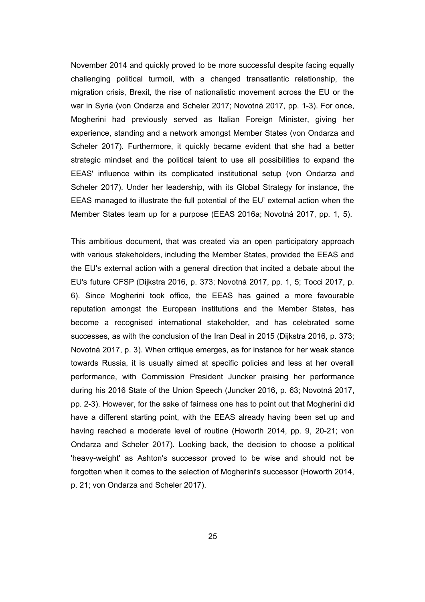November 2014 and quickly proved to be more successful despite facing equally challenging political turmoil, with a changed transatlantic relationship, the migration crisis, Brexit, the rise of nationalistic movement across the EU or the war in Syria (von Ondarza and Scheler 2017; Novotná 2017, pp. 1-3). For once, Mogherini had previously served as Italian Foreign Minister, giving her experience, standing and a network amongst Member States (von Ondarza and Scheler 2017). Furthermore, it quickly became evident that she had a better strategic mindset and the political talent to use all possibilities to expand the EEAS' influence within its complicated institutional setup (von Ondarza and Scheler 2017). Under her leadership, with its Global Strategy for instance, the EEAS managed to illustrate the full potential of the EU' external action when the Member States team up for a purpose (EEAS 2016a; Novotná 2017, pp. 1, 5).

This ambitious document, that was created via an open participatory approach with various stakeholders, including the Member States, provided the EEAS and the EU's external action with a general direction that incited a debate about the EU's future CFSP (Dijkstra 2016, p. 373; Novotná 2017, pp. 1, 5; Tocci 2017, p. 6). Since Mogherini took office, the EEAS has gained a more favourable reputation amongst the European institutions and the Member States, has become a recognised international stakeholder, and has celebrated some successes, as with the conclusion of the Iran Deal in 2015 (Dijkstra 2016, p. 373; Novotná 2017, p. 3). When critique emerges, as for instance for her weak stance towards Russia, it is usually aimed at specific policies and less at her overall performance, with Commission President Juncker praising her performance during his 2016 State of the Union Speech (Juncker 2016, p. 63; Novotná 2017, pp. 2-3). However, for the sake of fairness one has to point out that Mogherini did have a different starting point, with the EEAS already having been set up and having reached a moderate level of routine (Howorth 2014, pp. 9, 20-21; von Ondarza and Scheler 2017). Looking back, the decision to choose a political 'heavy-weight' as Ashton's successor proved to be wise and should not be forgotten when it comes to the selection of Mogherini's successor (Howorth 2014, p. 21; von Ondarza and Scheler 2017).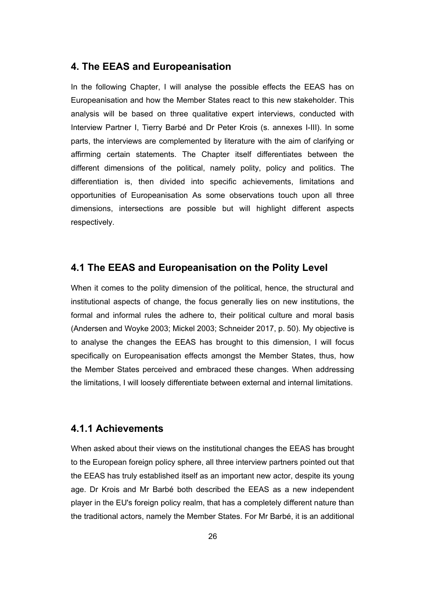#### **4. The EEAS and Europeanisation**

In the following Chapter, I will analyse the possible effects the EEAS has on Europeanisation and how the Member States react to this new stakeholder. This analysis will be based on three qualitative expert interviews, conducted with Interview Partner I, Tierry Barbé and Dr Peter Krois (s. annexes I-III). In some parts, the interviews are complemented by literature with the aim of clarifying or affirming certain statements. The Chapter itself differentiates between the different dimensions of the political, namely polity, policy and politics. The differentiation is, then divided into specific achievements, limitations and opportunities of Europeanisation As some observations touch upon all three dimensions, intersections are possible but will highlight different aspects respectively.

#### **4.1 The EEAS and Europeanisation on the Polity Level**

When it comes to the polity dimension of the political, hence, the structural and institutional aspects of change, the focus generally lies on new institutions, the formal and informal rules the adhere to, their political culture and moral basis (Andersen and Woyke 2003; Mickel 2003; Schneider 2017, p. 50). My objective is to analyse the changes the EEAS has brought to this dimension, I will focus specifically on Europeanisation effects amongst the Member States, thus, how the Member States perceived and embraced these changes. When addressing the limitations, I will loosely differentiate between external and internal limitations.

#### **4.1.1 Achievements**

When asked about their views on the institutional changes the EEAS has brought to the European foreign policy sphere, all three interview partners pointed out that the EEAS has truly established itself as an important new actor, despite its young age. Dr Krois and Mr Barbé both described the EEAS as a new independent player in the EU's foreign policy realm, that has a completely different nature than the traditional actors, namely the Member States. For Mr Barbé, it is an additional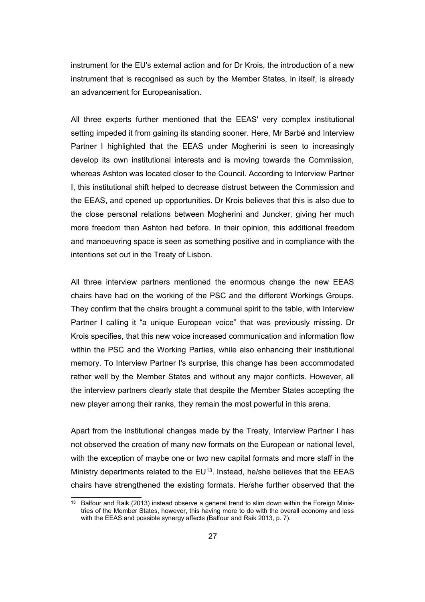instrument for the EU's external action and for Dr Krois, the introduction of a new instrument that is recognised as such by the Member States, in itself, is already an advancement for Europeanisation.

All three experts further mentioned that the EEAS' very complex institutional setting impeded it from gaining its standing sooner. Here, Mr Barbé and Interview Partner I highlighted that the EEAS under Mogherini is seen to increasingly develop its own institutional interests and is moving towards the Commission, whereas Ashton was located closer to the Council. According to Interview Partner I, this institutional shift helped to decrease distrust between the Commission and the EEAS, and opened up opportunities. Dr Krois believes that this is also due to the close personal relations between Mogherini and Juncker, giving her much more freedom than Ashton had before. In their opinion, this additional freedom and manoeuvring space is seen as something positive and in compliance with the intentions set out in the Treaty of Lisbon.

All three interview partners mentioned the enormous change the new EEAS chairs have had on the working of the PSC and the different Workings Groups. They confirm that the chairs brought a communal spirit to the table, with Interview Partner I calling it "a unique European voice" that was previously missing. Dr Krois specifies, that this new voice increased communication and information flow within the PSC and the Working Parties, while also enhancing their institutional memory. To Interview Partner I's surprise, this change has been accommodated rather well by the Member States and without any major conflicts. However, all the interview partners clearly state that despite the Member States accepting the new player among their ranks, they remain the most powerful in this arena.

Apart from the institutional changes made by the Treaty, Interview Partner I has not observed the creation of many new formats on the European or national level, with the exception of maybe one or two new capital formats and more staff in the Ministry departments related to the  $EU^{13}$  $EU^{13}$  $EU^{13}$ . Instead, he/she believes that the EEAS chairs have strengthened the existing formats. He/she further observed that the

<span id="page-32-0"></span><sup>&</sup>lt;sup>13</sup> Balfour and Raik (2013) instead observe a general trend to slim down within the Foreign Ministries of the Member States, however, this having more to do with the overall economy and less with the EEAS and possible synergy affects (Balfour and Raik 2013, p. 7).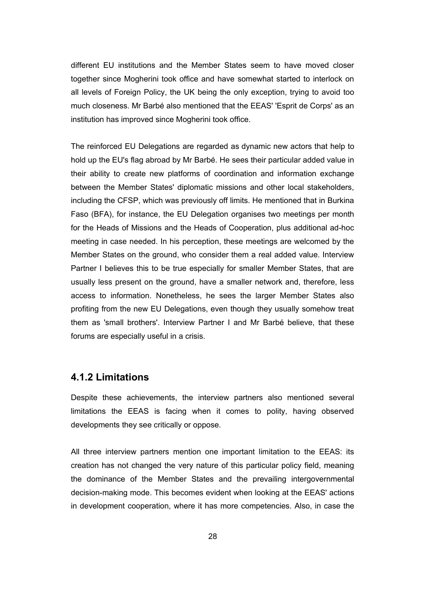different EU institutions and the Member States seem to have moved closer together since Mogherini took office and have somewhat started to interlock on all levels of Foreign Policy, the UK being the only exception, trying to avoid too much closeness. Mr Barbé also mentioned that the EEAS' 'Esprit de Corps' as an institution has improved since Mogherini took office.

The reinforced EU Delegations are regarded as dynamic new actors that help to hold up the EU's flag abroad by Mr Barbé. He sees their particular added value in their ability to create new platforms of coordination and information exchange between the Member States' diplomatic missions and other local stakeholders, including the CFSP, which was previously off limits. He mentioned that in Burkina Faso (BFA), for instance, the EU Delegation organises two meetings per month for the Heads of Missions and the Heads of Cooperation, plus additional ad-hoc meeting in case needed. In his perception, these meetings are welcomed by the Member States on the ground, who consider them a real added value. Interview Partner I believes this to be true especially for smaller Member States, that are usually less present on the ground, have a smaller network and, therefore, less access to information. Nonetheless, he sees the larger Member States also profiting from the new EU Delegations, even though they usually somehow treat them as 'small brothers'. Interview Partner I and Mr Barbé believe, that these forums are especially useful in a crisis.

#### **4.1.2 Limitations**

Despite these achievements, the interview partners also mentioned several limitations the EEAS is facing when it comes to polity, having observed developments they see critically or oppose.

All three interview partners mention one important limitation to the EEAS: its creation has not changed the very nature of this particular policy field, meaning the dominance of the Member States and the prevailing intergovernmental decision-making mode. This becomes evident when looking at the EEAS' actions in development cooperation, where it has more competencies. Also, in case the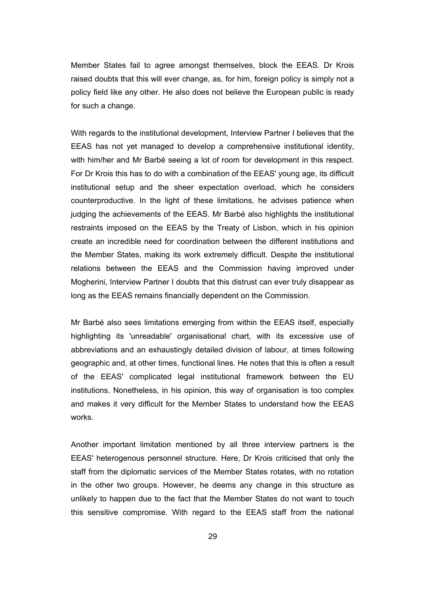Member States fail to agree amongst themselves, block the EEAS. Dr Krois raised doubts that this will ever change, as, for him, foreign policy is simply not a policy field like any other. He also does not believe the European public is ready for such a change.

With regards to the institutional development, Interview Partner I believes that the EEAS has not yet managed to develop a comprehensive institutional identity, with him/her and Mr Barbé seeing a lot of room for development in this respect. For Dr Krois this has to do with a combination of the EEAS' young age, its difficult institutional setup and the sheer expectation overload, which he considers counterproductive. In the light of these limitations, he advises patience when judging the achievements of the EEAS. Mr Barbé also highlights the institutional restraints imposed on the EEAS by the Treaty of Lisbon, which in his opinion create an incredible need for coordination between the different institutions and the Member States, making its work extremely difficult. Despite the institutional relations between the EEAS and the Commission having improved under Mogherini, Interview Partner I doubts that this distrust can ever truly disappear as long as the EEAS remains financially dependent on the Commission.

Mr Barbé also sees limitations emerging from within the EEAS itself, especially highlighting its 'unreadable' organisational chart, with its excessive use of abbreviations and an exhaustingly detailed division of labour, at times following geographic and, at other times, functional lines. He notes that this is often a result of the EEAS' complicated legal institutional framework between the EU institutions. Nonetheless, in his opinion, this way of organisation is too complex and makes it very difficult for the Member States to understand how the EEAS works.

Another important limitation mentioned by all three interview partners is the EEAS' heterogenous personnel structure. Here, Dr Krois criticised that only the staff from the diplomatic services of the Member States rotates, with no rotation in the other two groups. However, he deems any change in this structure as unlikely to happen due to the fact that the Member States do not want to touch this sensitive compromise. With regard to the EEAS staff from the national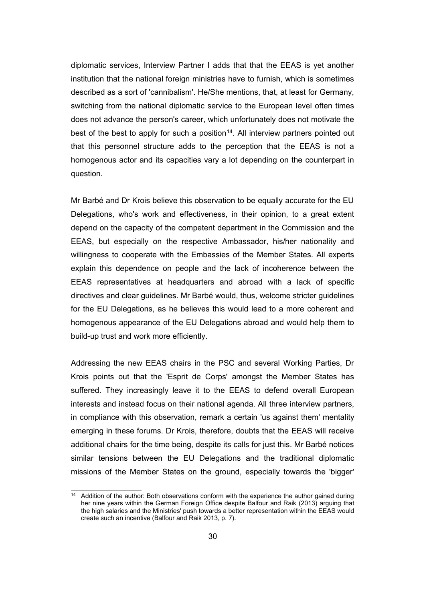diplomatic services, Interview Partner I adds that that the EEAS is yet another institution that the national foreign ministries have to furnish, which is sometimes described as a sort of 'cannibalism'. He/She mentions, that, at least for Germany, switching from the national diplomatic service to the European level often times does not advance the person's career, which unfortunately does not motivate the best of the best to apply for such a position<sup>[14](#page-35-0)</sup>. All interview partners pointed out that this personnel structure adds to the perception that the EEAS is not a homogenous actor and its capacities vary a lot depending on the counterpart in question.

Mr Barbé and Dr Krois believe this observation to be equally accurate for the EU Delegations, who's work and effectiveness, in their opinion, to a great extent depend on the capacity of the competent department in the Commission and the EEAS, but especially on the respective Ambassador, his/her nationality and willingness to cooperate with the Embassies of the Member States. All experts explain this dependence on people and the lack of incoherence between the EEAS representatives at headquarters and abroad with a lack of specific directives and clear guidelines. Mr Barbé would, thus, welcome stricter guidelines for the EU Delegations, as he believes this would lead to a more coherent and homogenous appearance of the EU Delegations abroad and would help them to build-up trust and work more efficiently.

Addressing the new EEAS chairs in the PSC and several Working Parties, Dr Krois points out that the 'Esprit de Corps' amongst the Member States has suffered. They increasingly leave it to the EEAS to defend overall European interests and instead focus on their national agenda. All three interview partners, in compliance with this observation, remark a certain 'us against them' mentality emerging in these forums. Dr Krois, therefore, doubts that the EEAS will receive additional chairs for the time being, despite its calls for just this. Mr Barbé notices similar tensions between the EU Delegations and the traditional diplomatic missions of the Member States on the ground, especially towards the 'bigger'

<span id="page-35-0"></span><sup>&</sup>lt;sup>14</sup> Addition of the author: Both observations conform with the experience the author gained during her nine years within the German Foreign Office despite Balfour and Raik (2013) arguing that the high salaries and the Ministries' push towards a better representation within the EEAS would create such an incentive (Balfour and Raik 2013, p. 7).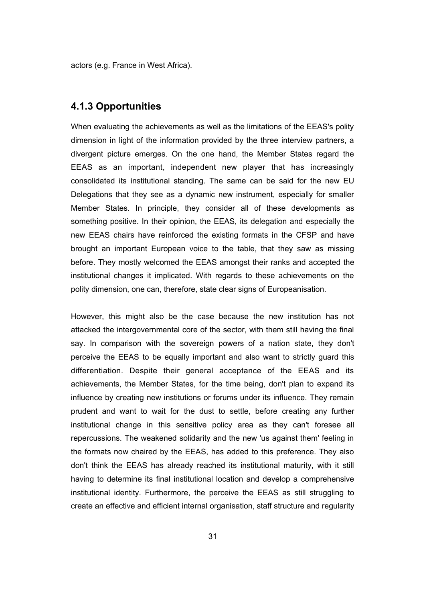actors (e.g. France in West Africa).

# **4.1.3 Opportunities**

When evaluating the achievements as well as the limitations of the EEAS's polity dimension in light of the information provided by the three interview partners, a divergent picture emerges. On the one hand, the Member States regard the EEAS as an important, independent new player that has increasingly consolidated its institutional standing. The same can be said for the new EU Delegations that they see as a dynamic new instrument, especially for smaller Member States. In principle, they consider all of these developments as something positive. In their opinion, the EEAS, its delegation and especially the new EEAS chairs have reinforced the existing formats in the CFSP and have brought an important European voice to the table, that they saw as missing before. They mostly welcomed the EEAS amongst their ranks and accepted the institutional changes it implicated. With regards to these achievements on the polity dimension, one can, therefore, state clear signs of Europeanisation.

However, this might also be the case because the new institution has not attacked the intergovernmental core of the sector, with them still having the final say. In comparison with the sovereign powers of a nation state, they don't perceive the EEAS to be equally important and also want to strictly guard this differentiation. Despite their general acceptance of the EEAS and its achievements, the Member States, for the time being, don't plan to expand its influence by creating new institutions or forums under its influence. They remain prudent and want to wait for the dust to settle, before creating any further institutional change in this sensitive policy area as they can't foresee all repercussions. The weakened solidarity and the new 'us against them' feeling in the formats now chaired by the EEAS, has added to this preference. They also don't think the EEAS has already reached its institutional maturity, with it still having to determine its final institutional location and develop a comprehensive institutional identity. Furthermore, the perceive the EEAS as still struggling to create an effective and efficient internal organisation, staff structure and regularity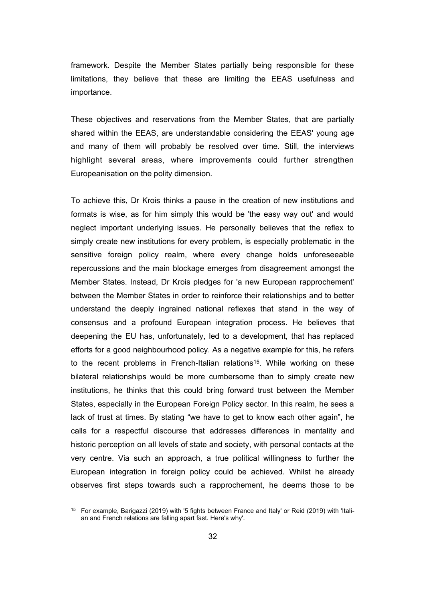framework. Despite the Member States partially being responsible for these limitations, they believe that these are limiting the EEAS usefulness and importance.

These objectives and reservations from the Member States, that are partially shared within the EEAS, are understandable considering the EEAS' young age and many of them will probably be resolved over time. Still, the interviews highlight several areas, where improvements could further strengthen Europeanisation on the polity dimension.

To achieve this, Dr Krois thinks a pause in the creation of new institutions and formats is wise, as for him simply this would be 'the easy way out' and would neglect important underlying issues. He personally believes that the reflex to simply create new institutions for every problem, is especially problematic in the sensitive foreign policy realm, where every change holds unforeseeable repercussions and the main blockage emerges from disagreement amongst the Member States. Instead, Dr Krois pledges for 'a new European rapprochement' between the Member States in order to reinforce their relationships and to better understand the deeply ingrained national reflexes that stand in the way of consensus and a profound European integration process. He believes that deepening the EU has, unfortunately, led to a development, that has replaced efforts for a good neighbourhood policy. As a negative example for this, he refers to the recent problems in French-Italian relations<sup>[15](#page-37-0)</sup>. While working on these bilateral relationships would be more cumbersome than to simply create new institutions, he thinks that this could bring forward trust between the Member States, especially in the European Foreign Policy sector. In this realm, he sees a lack of trust at times. By stating "we have to get to know each other again", he calls for a respectful discourse that addresses differences in mentality and historic perception on all levels of state and society, with personal contacts at the very centre. Via such an approach, a true political willingness to further the European integration in foreign policy could be achieved. Whilst he already observes first steps towards such a rapprochement, he deems those to be

<span id="page-37-0"></span><sup>15</sup> For example, Barigazzi (2019) with '5 fights between France and Italy' or Reid (2019) with 'Italian and French relations are falling apart fast. Here's why'.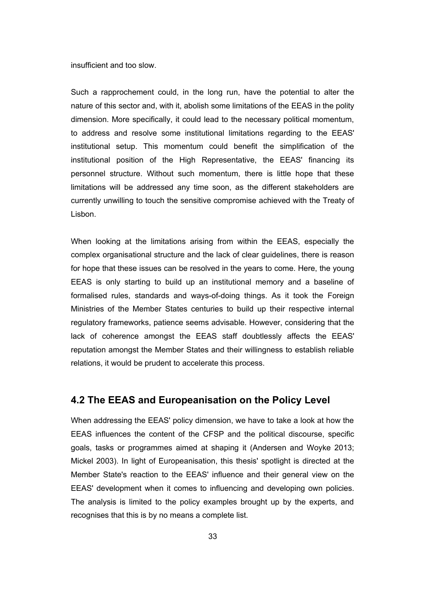insufficient and too slow.

Such a rapprochement could, in the long run, have the potential to alter the nature of this sector and, with it, abolish some limitations of the EEAS in the polity dimension. More specifically, it could lead to the necessary political momentum, to address and resolve some institutional limitations regarding to the EEAS' institutional setup. This momentum could benefit the simplification of the institutional position of the High Representative, the EEAS' financing its personnel structure. Without such momentum, there is little hope that these limitations will be addressed any time soon, as the different stakeholders are currently unwilling to touch the sensitive compromise achieved with the Treaty of Lisbon.

When looking at the limitations arising from within the EEAS, especially the complex organisational structure and the lack of clear guidelines, there is reason for hope that these issues can be resolved in the years to come. Here, the young EEAS is only starting to build up an institutional memory and a baseline of formalised rules, standards and ways-of-doing things. As it took the Foreign Ministries of the Member States centuries to build up their respective internal regulatory frameworks, patience seems advisable. However, considering that the lack of coherence amongst the EEAS staff doubtlessly affects the EEAS' reputation amongst the Member States and their willingness to establish reliable relations, it would be prudent to accelerate this process.

#### **4.2 The EEAS and Europeanisation on the Policy Level**

When addressing the EEAS' policy dimension, we have to take a look at how the EEAS influences the content of the CFSP and the political discourse, specific goals, tasks or programmes aimed at shaping it (Andersen and Woyke 2013; Mickel 2003). In light of Europeanisation, this thesis' spotlight is directed at the Member State's reaction to the EEAS' influence and their general view on the EEAS' development when it comes to influencing and developing own policies. The analysis is limited to the policy examples brought up by the experts, and recognises that this is by no means a complete list.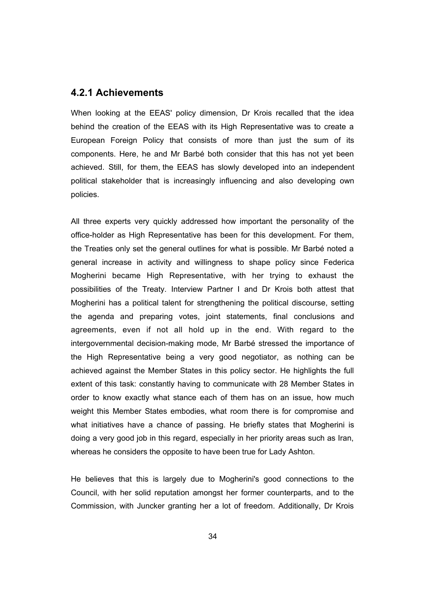#### **4.2.1 Achievements**

When looking at the EEAS' policy dimension, Dr Krois recalled that the idea behind the creation of the EEAS with its High Representative was to create a European Foreign Policy that consists of more than just the sum of its components. Here, he and Mr Barbé both consider that this has not yet been achieved. Still, for them, the EEAS has slowly developed into an independent political stakeholder that is increasingly influencing and also developing own policies.

All three experts very quickly addressed how important the personality of the office-holder as High Representative has been for this development. For them, the Treaties only set the general outlines for what is possible. Mr Barbé noted a general increase in activity and willingness to shape policy since Federica Mogherini became High Representative, with her trying to exhaust the possibilities of the Treaty. Interview Partner I and Dr Krois both attest that Mogherini has a political talent for strengthening the political discourse, setting the agenda and preparing votes, joint statements, final conclusions and agreements, even if not all hold up in the end. With regard to the intergovernmental decision-making mode, Mr Barbé stressed the importance of the High Representative being a very good negotiator, as nothing can be achieved against the Member States in this policy sector. He highlights the full extent of this task: constantly having to communicate with 28 Member States in order to know exactly what stance each of them has on an issue, how much weight this Member States embodies, what room there is for compromise and what initiatives have a chance of passing. He briefly states that Mogherini is doing a very good job in this regard, especially in her priority areas such as Iran, whereas he considers the opposite to have been true for Lady Ashton.

He believes that this is largely due to Mogherini's good connections to the Council, with her solid reputation amongst her former counterparts, and to the Commission, with Juncker granting her a lot of freedom. Additionally, Dr Krois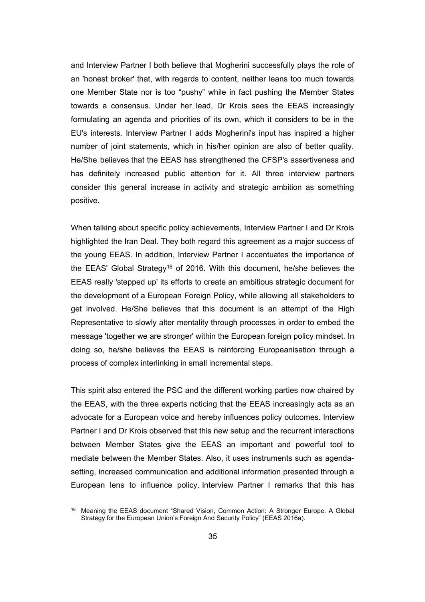and Interview Partner I both believe that Mogherini successfully plays the role of an 'honest broker' that, with regards to content, neither leans too much towards one Member State nor is too "pushy" while in fact pushing the Member States towards a consensus. Under her lead, Dr Krois sees the EEAS increasingly formulating an agenda and priorities of its own, which it considers to be in the EU's interests. Interview Partner I adds Mogherini's input has inspired a higher number of joint statements, which in his/her opinion are also of better quality. He/She believes that the EEAS has strengthened the CFSP's assertiveness and has definitely increased public attention for it. All three interview partners consider this general increase in activity and strategic ambition as something positive.

When talking about specific policy achievements, Interview Partner I and Dr Krois highlighted the Iran Deal. They both regard this agreement as a major success of the young EEAS. In addition, Interview Partner I accentuates the importance of the EEAS' Global Strategy<sup>[16](#page-40-0)</sup> of 2016. With this document, he/she believes the EEAS really 'stepped up' its efforts to create an ambitious strategic document for the development of a European Foreign Policy, while allowing all stakeholders to get involved. He/She believes that this document is an attempt of the High Representative to slowly alter mentality through processes in order to embed the message 'together we are stronger' within the European foreign policy mindset. In doing so, he/she believes the EEAS is reinforcing Europeanisation through a process of complex interlinking in small incremental steps.

This spirit also entered the PSC and the different working parties now chaired by the EEAS, with the three experts noticing that the EEAS increasingly acts as an advocate for a European voice and hereby influences policy outcomes. Interview Partner I and Dr Krois observed that this new setup and the recurrent interactions between Member States give the EEAS an important and powerful tool to mediate between the Member States. Also, it uses instruments such as agendasetting, increased communication and additional information presented through a European lens to influence policy. Interview Partner I remarks that this has

<span id="page-40-0"></span><sup>&</sup>lt;sup>16</sup> Meaning the EEAS document "Shared Vision, Common Action: A Stronger Europe. A Global Strategy for the European Union's Foreign And Security Policy" (EEAS 2016a).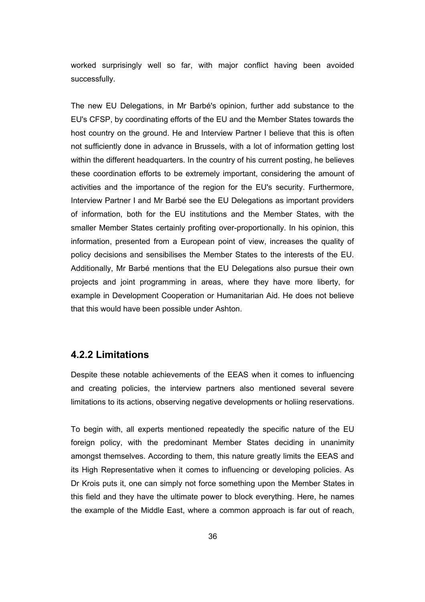worked surprisingly well so far, with major conflict having been avoided successfully.

The new EU Delegations, in Mr Barbé's opinion, further add substance to the EU's CFSP, by coordinating efforts of the EU and the Member States towards the host country on the ground. He and Interview Partner I believe that this is often not sufficiently done in advance in Brussels, with a lot of information getting lost within the different headquarters. In the country of his current posting, he believes these coordination efforts to be extremely important, considering the amount of activities and the importance of the region for the EU's security. Furthermore, Interview Partner I and Mr Barbé see the EU Delegations as important providers of information, both for the EU institutions and the Member States, with the smaller Member States certainly profiting over-proportionally. In his opinion, this information, presented from a European point of view, increases the quality of policy decisions and sensibilises the Member States to the interests of the EU. Additionally, Mr Barbé mentions that the EU Delegations also pursue their own projects and joint programming in areas, where they have more liberty, for example in Development Cooperation or Humanitarian Aid. He does not believe that this would have been possible under Ashton.

## **4.2.2 Limitations**

Despite these notable achievements of the EEAS when it comes to influencing and creating policies, the interview partners also mentioned several severe limitations to its actions, observing negative developments or holiing reservations.

To begin with, all experts mentioned repeatedly the specific nature of the EU foreign policy, with the predominant Member States deciding in unanimity amongst themselves. According to them, this nature greatly limits the EEAS and its High Representative when it comes to influencing or developing policies. As Dr Krois puts it, one can simply not force something upon the Member States in this field and they have the ultimate power to block everything. Here, he names the example of the Middle East, where a common approach is far out of reach,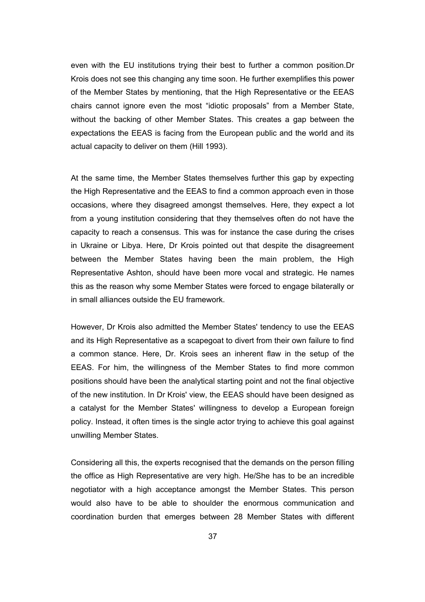even with the EU institutions trying their best to further a common position.Dr Krois does not see this changing any time soon. He further exemplifies this power of the Member States by mentioning, that the High Representative or the EEAS chairs cannot ignore even the most "idiotic proposals" from a Member State, without the backing of other Member States. This creates a gap between the expectations the EEAS is facing from the European public and the world and its actual capacity to deliver on them (Hill 1993).

At the same time, the Member States themselves further this gap by expecting the High Representative and the EEAS to find a common approach even in those occasions, where they disagreed amongst themselves. Here, they expect a lot from a young institution considering that they themselves often do not have the capacity to reach a consensus. This was for instance the case during the crises in Ukraine or Libya. Here, Dr Krois pointed out that despite the disagreement between the Member States having been the main problem, the High Representative Ashton, should have been more vocal and strategic. He names this as the reason why some Member States were forced to engage bilaterally or in small alliances outside the EU framework.

However, Dr Krois also admitted the Member States' tendency to use the EEAS and its High Representative as a scapegoat to divert from their own failure to find a common stance. Here, Dr. Krois sees an inherent flaw in the setup of the EEAS. For him, the willingness of the Member States to find more common positions should have been the analytical starting point and not the final objective of the new institution. In Dr Krois' view, the EEAS should have been designed as a catalyst for the Member States' willingness to develop a European foreign policy. Instead, it often times is the single actor trying to achieve this goal against unwilling Member States.

Considering all this, the experts recognised that the demands on the person filling the office as High Representative are very high. He/She has to be an incredible negotiator with a high acceptance amongst the Member States. This person would also have to be able to shoulder the enormous communication and coordination burden that emerges between 28 Member States with different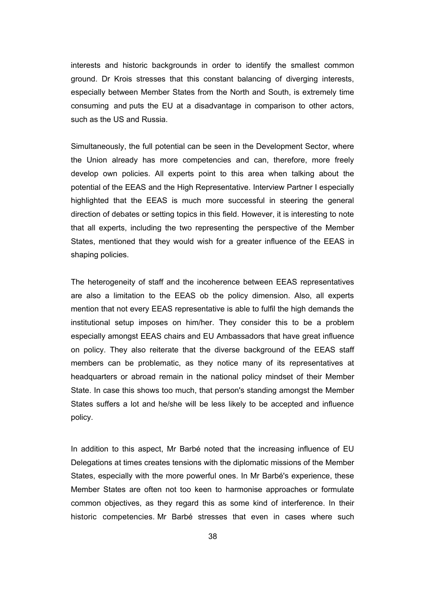interests and historic backgrounds in order to identify the smallest common ground. Dr Krois stresses that this constant balancing of diverging interests, especially between Member States from the North and South, is extremely time consuming and puts the EU at a disadvantage in comparison to other actors, such as the US and Russia.

Simultaneously, the full potential can be seen in the Development Sector, where the Union already has more competencies and can, therefore, more freely develop own policies. All experts point to this area when talking about the potential of the EEAS and the High Representative. Interview Partner I especially highlighted that the EEAS is much more successful in steering the general direction of debates or setting topics in this field. However, it is interesting to note that all experts, including the two representing the perspective of the Member States, mentioned that they would wish for a greater influence of the EEAS in shaping policies.

The heterogeneity of staff and the incoherence between EEAS representatives are also a limitation to the EEAS ob the policy dimension. Also, all experts mention that not every EEAS representative is able to fulfil the high demands the institutional setup imposes on him/her. They consider this to be a problem especially amongst EEAS chairs and EU Ambassadors that have great influence on policy. They also reiterate that the diverse background of the EEAS staff members can be problematic, as they notice many of its representatives at headquarters or abroad remain in the national policy mindset of their Member State. In case this shows too much, that person's standing amongst the Member States suffers a lot and he/she will be less likely to be accepted and influence policy.

In addition to this aspect, Mr Barbé noted that the increasing influence of EU Delegations at times creates tensions with the diplomatic missions of the Member States, especially with the more powerful ones. In Mr Barbé's experience, these Member States are often not too keen to harmonise approaches or formulate common objectives, as they regard this as some kind of interference. In their historic competencies. Mr Barbé stresses that even in cases where such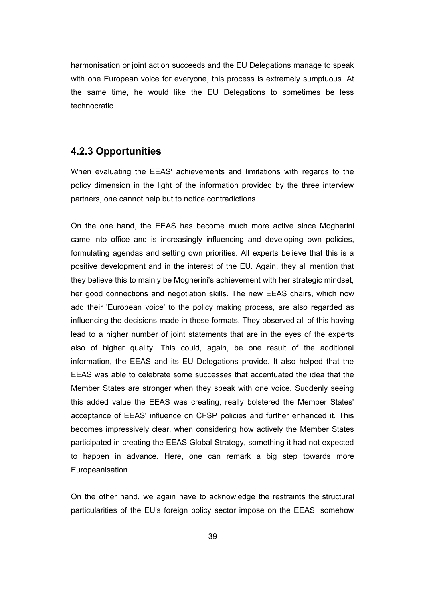harmonisation or joint action succeeds and the EU Delegations manage to speak with one European voice for everyone, this process is extremely sumptuous. At the same time, he would like the EU Delegations to sometimes be less technocratic.

## **4.2.3 Opportunities**

When evaluating the EEAS' achievements and limitations with regards to the policy dimension in the light of the information provided by the three interview partners, one cannot help but to notice contradictions.

On the one hand, the EEAS has become much more active since Mogherini came into office and is increasingly influencing and developing own policies, formulating agendas and setting own priorities. All experts believe that this is a positive development and in the interest of the EU. Again, they all mention that they believe this to mainly be Mogherini's achievement with her strategic mindset, her good connections and negotiation skills. The new EEAS chairs, which now add their 'European voice' to the policy making process, are also regarded as influencing the decisions made in these formats. They observed all of this having lead to a higher number of joint statements that are in the eyes of the experts also of higher quality. This could, again, be one result of the additional information, the EEAS and its EU Delegations provide. It also helped that the EEAS was able to celebrate some successes that accentuated the idea that the Member States are stronger when they speak with one voice. Suddenly seeing this added value the EEAS was creating, really bolstered the Member States' acceptance of EEAS' influence on CFSP policies and further enhanced it. This becomes impressively clear, when considering how actively the Member States participated in creating the EEAS Global Strategy, something it had not expected to happen in advance. Here, one can remark a big step towards more Europeanisation.

On the other hand, we again have to acknowledge the restraints the structural particularities of the EU's foreign policy sector impose on the EEAS, somehow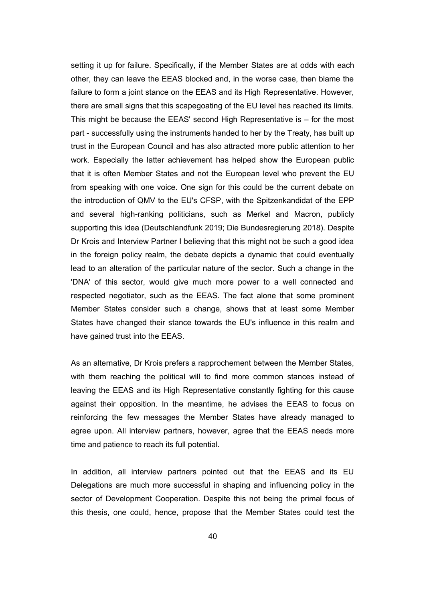setting it up for failure. Specifically, if the Member States are at odds with each other, they can leave the EEAS blocked and, in the worse case, then blame the failure to form a joint stance on the EEAS and its High Representative. However, there are small signs that this scapegoating of the EU level has reached its limits. This might be because the EEAS' second High Representative is – for the most part - successfully using the instruments handed to her by the Treaty, has built up trust in the European Council and has also attracted more public attention to her work. Especially the latter achievement has helped show the European public that it is often Member States and not the European level who prevent the EU from speaking with one voice. One sign for this could be the current debate on the introduction of QMV to the EU's CFSP, with the Spitzenkandidat of the EPP and several high-ranking politicians, such as Merkel and Macron, publicly supporting this idea (Deutschlandfunk 2019; Die Bundesregierung 2018). Despite Dr Krois and Interview Partner I believing that this might not be such a good idea in the foreign policy realm, the debate depicts a dynamic that could eventually lead to an alteration of the particular nature of the sector. Such a change in the 'DNA' of this sector, would give much more power to a well connected and respected negotiator, such as the EEAS. The fact alone that some prominent Member States consider such a change, shows that at least some Member States have changed their stance towards the EU's influence in this realm and have gained trust into the EEAS.

As an alternative, Dr Krois prefers a rapprochement between the Member States, with them reaching the political will to find more common stances instead of leaving the EEAS and its High Representative constantly fighting for this cause against their opposition. In the meantime, he advises the EEAS to focus on reinforcing the few messages the Member States have already managed to agree upon. All interview partners, however, agree that the EEAS needs more time and patience to reach its full potential.

In addition, all interview partners pointed out that the EEAS and its EU Delegations are much more successful in shaping and influencing policy in the sector of Development Cooperation. Despite this not being the primal focus of this thesis, one could, hence, propose that the Member States could test the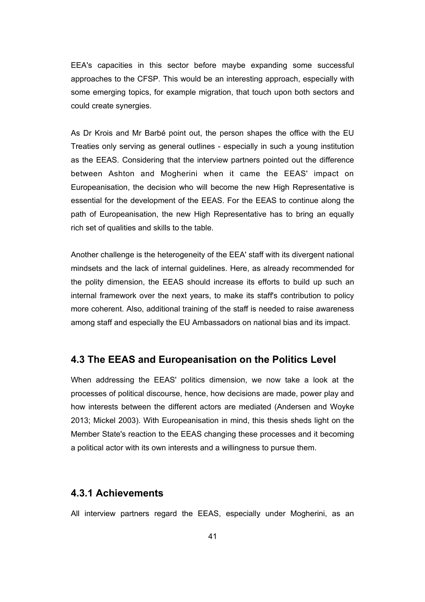EEA's capacities in this sector before maybe expanding some successful approaches to the CFSP. This would be an interesting approach, especially with some emerging topics, for example migration, that touch upon both sectors and could create synergies.

As Dr Krois and Mr Barbé point out, the person shapes the office with the EU Treaties only serving as general outlines - especially in such a young institution as the EEAS. Considering that the interview partners pointed out the difference between Ashton and Mogherini when it came the EEAS' impact on Europeanisation, the decision who will become the new High Representative is essential for the development of the EEAS. For the EEAS to continue along the path of Europeanisation, the new High Representative has to bring an equally rich set of qualities and skills to the table.

Another challenge is the heterogeneity of the EEA' staff with its divergent national mindsets and the lack of internal guidelines. Here, as already recommended for the polity dimension, the EEAS should increase its efforts to build up such an internal framework over the next years, to make its staff's contribution to policy more coherent. Also, additional training of the staff is needed to raise awareness among staff and especially the EU Ambassadors on national bias and its impact.

## **4.3 The EEAS and Europeanisation on the Politics Level**

When addressing the EEAS' politics dimension, we now take a look at the processes of political discourse, hence, how decisions are made, power play and how interests between the different actors are mediated (Andersen and Woyke 2013; Mickel 2003). With Europeanisation in mind, this thesis sheds light on the Member State's reaction to the EEAS changing these processes and it becoming a political actor with its own interests and a willingness to pursue them.

#### **4.3.1 Achievements**

All interview partners regard the EEAS, especially under Mogherini, as an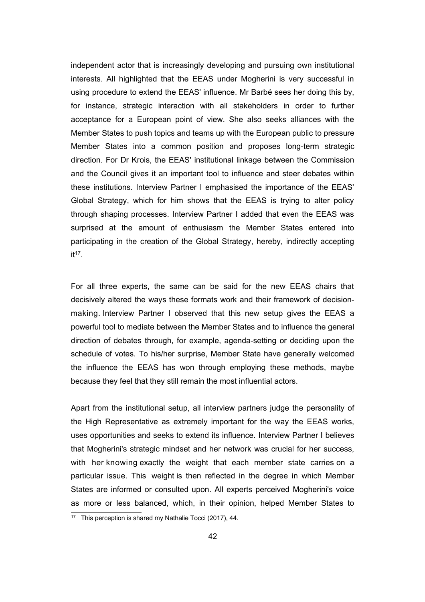independent actor that is increasingly developing and pursuing own institutional interests. All highlighted that the EEAS under Mogherini is very successful in using procedure to extend the EEAS' influence. Mr Barbé sees her doing this by, for instance, strategic interaction with all stakeholders in order to further acceptance for a European point of view. She also seeks alliances with the Member States to push topics and teams up with the European public to pressure Member States into a common position and proposes long-term strategic direction. For Dr Krois, the EEAS' institutional linkage between the Commission and the Council gives it an important tool to influence and steer debates within these institutions. Interview Partner I emphasised the importance of the EEAS' Global Strategy, which for him shows that the EEAS is trying to alter policy through shaping processes. Interview Partner I added that even the EEAS was surprised at the amount of enthusiasm the Member States entered into participating in the creation of the Global Strategy, hereby, indirectly accepting it[17](#page-47-0) .

For all three experts, the same can be said for the new EEAS chairs that decisively altered the ways these formats work and their framework of decisionmaking. Interview Partner I observed that this new setup gives the EEAS a powerful tool to mediate between the Member States and to influence the general direction of debates through, for example, agenda-setting or deciding upon the schedule of votes. To his/her surprise, Member State have generally welcomed the influence the EEAS has won through employing these methods, maybe because they feel that they still remain the most influential actors.

Apart from the institutional setup, all interview partners judge the personality of the High Representative as extremely important for the way the EEAS works, uses opportunities and seeks to extend its influence. Interview Partner I believes that Mogherini's strategic mindset and her network was crucial for her success, with her knowing exactly the weight that each member state carries on a particular issue. This weight is then reflected in the degree in which Member States are informed or consulted upon. All experts perceived Mogherini's voice as more or less balanced, which, in their opinion, helped Member States to

<span id="page-47-0"></span><sup>&</sup>lt;sup>17</sup> This perception is shared my Nathalie Tocci (2017), 44.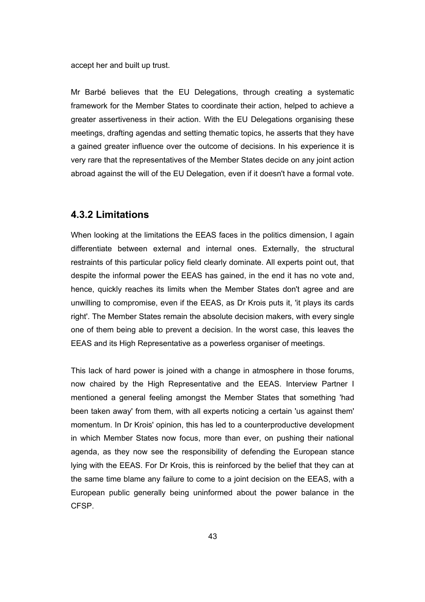accept her and built up trust.

Mr Barbé believes that the EU Delegations, through creating a systematic framework for the Member States to coordinate their action, helped to achieve a greater assertiveness in their action. With the EU Delegations organising these meetings, drafting agendas and setting thematic topics, he asserts that they have a gained greater influence over the outcome of decisions. In his experience it is very rare that the representatives of the Member States decide on any joint action abroad against the will of the EU Delegation, even if it doesn't have a formal vote.

#### **4.3.2 Limitations**

When looking at the limitations the EEAS faces in the politics dimension, I again differentiate between external and internal ones. Externally, the structural restraints of this particular policy field clearly dominate. All experts point out, that despite the informal power the EEAS has gained, in the end it has no vote and, hence, quickly reaches its limits when the Member States don't agree and are unwilling to compromise, even if the EEAS, as Dr Krois puts it, 'it plays its cards right'. The Member States remain the absolute decision makers, with every single one of them being able to prevent a decision. In the worst case, this leaves the EEAS and its High Representative as a powerless organiser of meetings.

This lack of hard power is joined with a change in atmosphere in those forums, now chaired by the High Representative and the EEAS. Interview Partner I mentioned a general feeling amongst the Member States that something 'had been taken away' from them, with all experts noticing a certain 'us against them' momentum. In Dr Krois' opinion, this has led to a counterproductive development in which Member States now focus, more than ever, on pushing their national agenda, as they now see the responsibility of defending the European stance lying with the EEAS. For Dr Krois, this is reinforced by the belief that they can at the same time blame any failure to come to a joint decision on the EEAS, with a European public generally being uninformed about the power balance in the **CFSP**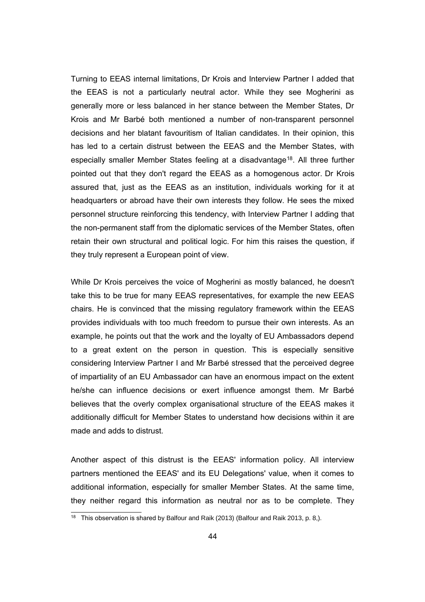Turning to EEAS internal limitations, Dr Krois and Interview Partner I added that the EEAS is not a particularly neutral actor. While they see Mogherini as generally more or less balanced in her stance between the Member States, Dr Krois and Mr Barbé both mentioned a number of non-transparent personnel decisions and her blatant favouritism of Italian candidates. In their opinion, this has led to a certain distrust between the EEAS and the Member States, with especially smaller Member States feeling at a disadvantage<sup>[18](#page-49-0)</sup>. All three further pointed out that they don't regard the EEAS as a homogenous actor. Dr Krois assured that, just as the EEAS as an institution, individuals working for it at headquarters or abroad have their own interests they follow. He sees the mixed personnel structure reinforcing this tendency, with Interview Partner I adding that the non-permanent staff from the diplomatic services of the Member States, often retain their own structural and political logic. For him this raises the question, if they truly represent a European point of view.

While Dr Krois perceives the voice of Mogherini as mostly balanced, he doesn't take this to be true for many EEAS representatives, for example the new EEAS chairs. He is convinced that the missing regulatory framework within the EEAS provides individuals with too much freedom to pursue their own interests. As an example, he points out that the work and the loyalty of EU Ambassadors depend to a great extent on the person in question. This is especially sensitive considering Interview Partner I and Mr Barbé stressed that the perceived degree of impartiality of an EU Ambassador can have an enormous impact on the extent he/she can influence decisions or exert influence amongst them. Mr Barbé believes that the overly complex organisational structure of the EEAS makes it additionally difficult for Member States to understand how decisions within it are made and adds to distrust.

Another aspect of this distrust is the EEAS' information policy. All interview partners mentioned the EEAS' and its EU Delegations' value, when it comes to additional information, especially for smaller Member States. At the same time, they neither regard this information as neutral nor as to be complete. They

<span id="page-49-0"></span><sup>&</sup>lt;sup>18</sup> This observation is shared by Balfour and Raik (2013) (Balfour and Raik 2013, p. 8,).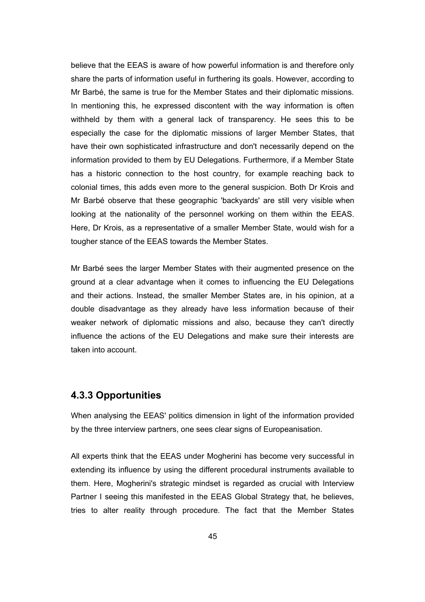believe that the EEAS is aware of how powerful information is and therefore only share the parts of information useful in furthering its goals. However, according to Mr Barbé, the same is true for the Member States and their diplomatic missions. In mentioning this, he expressed discontent with the way information is often withheld by them with a general lack of transparency. He sees this to be especially the case for the diplomatic missions of larger Member States, that have their own sophisticated infrastructure and don't necessarily depend on the information provided to them by EU Delegations. Furthermore, if a Member State has a historic connection to the host country, for example reaching back to colonial times, this adds even more to the general suspicion. Both Dr Krois and Mr Barbé observe that these geographic 'backyards' are still very visible when looking at the nationality of the personnel working on them within the EEAS. Here, Dr Krois, as a representative of a smaller Member State, would wish for a tougher stance of the EEAS towards the Member States.

Mr Barbé sees the larger Member States with their augmented presence on the ground at a clear advantage when it comes to influencing the EU Delegations and their actions. Instead, the smaller Member States are, in his opinion, at a double disadvantage as they already have less information because of their weaker network of diplomatic missions and also, because they can't directly influence the actions of the EU Delegations and make sure their interests are taken into account.

## **4.3.3 Opportunities**

When analysing the EEAS' politics dimension in light of the information provided by the three interview partners, one sees clear signs of Europeanisation.

All experts think that the EEAS under Mogherini has become very successful in extending its influence by using the different procedural instruments available to them. Here, Mogherini's strategic mindset is regarded as crucial with Interview Partner I seeing this manifested in the EEAS Global Strategy that, he believes, tries to alter reality through procedure. The fact that the Member States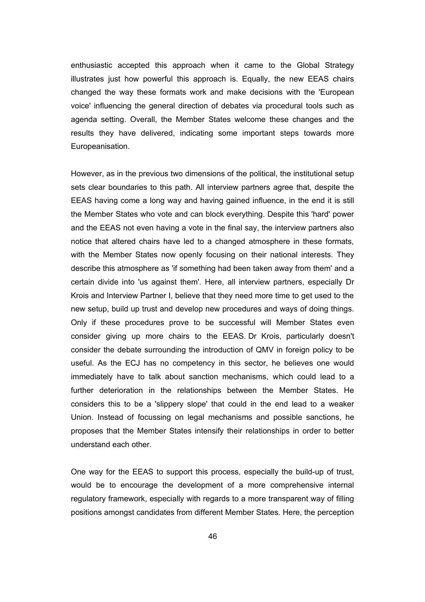enthusiastic accepted this approach when it came to the Global Strategy illustrates just how powerful this approach is. Equally, the new EEAS chairs changed the way these formats work and make decisions with the 'European voice' influencing the general direction of debates via procedural tools such as agenda setting. Overall, the Member States welcome these changes and the results they have delivered, indicating some important steps towards more Europeanisation.

However, as in the previous two dimensions of the political, the institutional setup sets clear boundaries to this path. All interview partners agree that, despite the EEAS having come a long way and having gained influence, in the end it is still the Member States who vote and can block everything. Despite this 'hard' power and the EEAS not even having a vote in the final say, the interview partners also notice that altered chairs have led to a changed atmosphere in these formats, with the Member States now openly focusing on their national interests. They describe this atmosphere as 'if something had been taken away from them' and a certain divide into 'us against them'. Here, all interview partners, especially Dr Krois and Interview Partner I, believe that they need more time to get used to the new setup, build up trust and develop new procedures and ways of doing things. Only if these procedures prove to be successful will Member States even consider giving up more chairs to the EEAS. Dr Krois, particularly doesn't consider the debate surrounding the introduction of QMV in foreign policy to be useful. As the ECJ has no competency in this sector, he believes one would immediately have to talk about sanction mechanisms, which could lead to a further deterioration in the relationships between the Member States. He considers this to be a 'slippery slope' that could in the end lead to a weaker Union. Instead of focussing on legal mechanisms and possible sanctions, he proposes that the Member States intensify their relationships in order to better understand each other.

One way for the EEAS to support this process, especially the build-up of trust, would be to encourage the development of a more comprehensive internal regulatory framework, especially with regards to a more transparent way of filling positions amongst candidates from different Member States. Here, the perception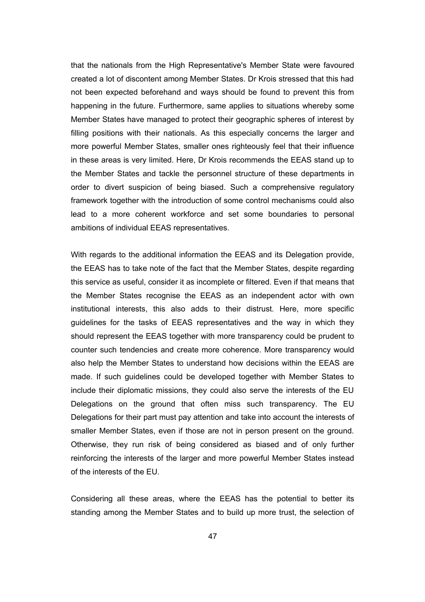that the nationals from the High Representative's Member State were favoured created a lot of discontent among Member States. Dr Krois stressed that this had not been expected beforehand and ways should be found to prevent this from happening in the future. Furthermore, same applies to situations whereby some Member States have managed to protect their geographic spheres of interest by filling positions with their nationals. As this especially concerns the larger and more powerful Member States, smaller ones righteously feel that their influence in these areas is very limited. Here, Dr Krois recommends the EEAS stand up to the Member States and tackle the personnel structure of these departments in order to divert suspicion of being biased. Such a comprehensive regulatory framework together with the introduction of some control mechanisms could also lead to a more coherent workforce and set some boundaries to personal ambitions of individual EEAS representatives.

With regards to the additional information the EEAS and its Delegation provide, the EEAS has to take note of the fact that the Member States, despite regarding this service as useful, consider it as incomplete or filtered. Even if that means that the Member States recognise the EEAS as an independent actor with own institutional interests, this also adds to their distrust. Here, more specific guidelines for the tasks of EEAS representatives and the way in which they should represent the EEAS together with more transparency could be prudent to counter such tendencies and create more coherence. More transparency would also help the Member States to understand how decisions within the EEAS are made. If such guidelines could be developed together with Member States to include their diplomatic missions, they could also serve the interests of the EU Delegations on the ground that often miss such transparency. The EU Delegations for their part must pay attention and take into account the interests of smaller Member States, even if those are not in person present on the ground. Otherwise, they run risk of being considered as biased and of only further reinforcing the interests of the larger and more powerful Member States instead of the interests of the EU.

Considering all these areas, where the EEAS has the potential to better its standing among the Member States and to build up more trust, the selection of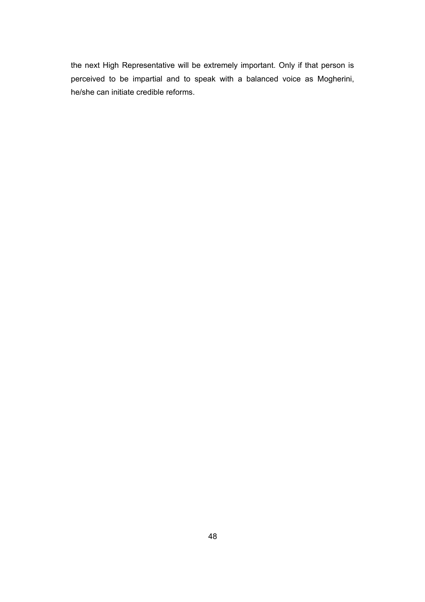the next High Representative will be extremely important. Only if that person is perceived to be impartial and to speak with a balanced voice as Mogherini, he/she can initiate credible reforms.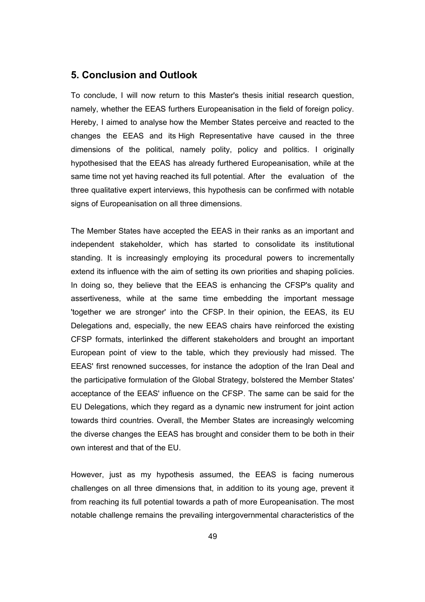#### **5. Conclusion and Outlook**

To conclude, I will now return to this Master's thesis initial research question, namely, whether the EEAS furthers Europeanisation in the field of foreign policy. Hereby, I aimed to analyse how the Member States perceive and reacted to the changes the EEAS and its High Representative have caused in the three dimensions of the political, namely polity, policy and politics. I originally hypothesised that the EEAS has already furthered Europeanisation, while at the same time not yet having reached its full potential. After the evaluation of the three qualitative expert interviews, this hypothesis can be confirmed with notable signs of Europeanisation on all three dimensions.

The Member States have accepted the EEAS in their ranks as an important and independent stakeholder, which has started to consolidate its institutional standing. It is increasingly employing its procedural powers to incrementally extend its influence with the aim of setting its own priorities and shaping policies. In doing so, they believe that the EEAS is enhancing the CFSP's quality and assertiveness, while at the same time embedding the important message 'together we are stronger' into the CFSP. In their opinion, the EEAS, its EU Delegations and, especially, the new EEAS chairs have reinforced the existing CFSP formats, interlinked the different stakeholders and brought an important European point of view to the table, which they previously had missed. The EEAS' first renowned successes, for instance the adoption of the Iran Deal and the participative formulation of the Global Strategy, bolstered the Member States' acceptance of the EEAS' influence on the CFSP. The same can be said for the EU Delegations, which they regard as a dynamic new instrument for joint action towards third countries. Overall, the Member States are increasingly welcoming the diverse changes the EEAS has brought and consider them to be both in their own interest and that of the EU.

However, just as my hypothesis assumed, the EEAS is facing numerous challenges on all three dimensions that, in addition to its young age, prevent it from reaching its full potential towards a path of more Europeanisation. The most notable challenge remains the prevailing intergovernmental characteristics of the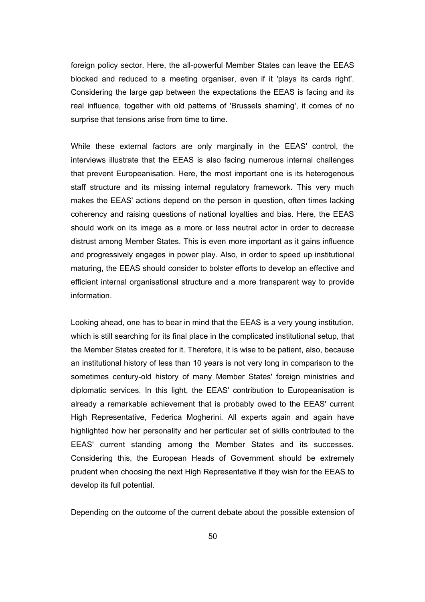foreign policy sector. Here, the all-powerful Member States can leave the EEAS blocked and reduced to a meeting organiser, even if it 'plays its cards right'. Considering the large gap between the expectations the EEAS is facing and its real influence, together with old patterns of 'Brussels shaming', it comes of no surprise that tensions arise from time to time.

While these external factors are only marginally in the EEAS' control, the interviews illustrate that the EEAS is also facing numerous internal challenges that prevent Europeanisation. Here, the most important one is its heterogenous staff structure and its missing internal regulatory framework. This very much makes the EEAS' actions depend on the person in question, often times lacking coherency and raising questions of national loyalties and bias. Here, the EEAS should work on its image as a more or less neutral actor in order to decrease distrust among Member States. This is even more important as it gains influence and progressively engages in power play. Also, in order to speed up institutional maturing, the EEAS should consider to bolster efforts to develop an effective and efficient internal organisational structure and a more transparent way to provide information.

Looking ahead, one has to bear in mind that the EEAS is a very young institution, which is still searching for its final place in the complicated institutional setup, that the Member States created for it. Therefore, it is wise to be patient, also, because an institutional history of less than 10 years is not very long in comparison to the sometimes century-old history of many Member States' foreign ministries and diplomatic services. In this light, the EEAS' contribution to Europeanisation is already a remarkable achievement that is probably owed to the EEAS' current High Representative, Federica Mogherini. All experts again and again have highlighted how her personality and her particular set of skills contributed to the EEAS' current standing among the Member States and its successes. Considering this, the European Heads of Government should be extremely prudent when choosing the next High Representative if they wish for the EEAS to develop its full potential.

Depending on the outcome of the current debate about the possible extension of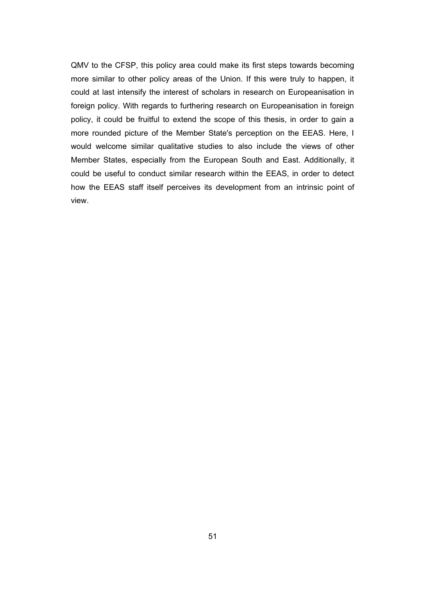QMV to the CFSP, this policy area could make its first steps towards becoming more similar to other policy areas of the Union. If this were truly to happen, it could at last intensify the interest of scholars in research on Europeanisation in foreign policy. With regards to furthering research on Europeanisation in foreign policy, it could be fruitful to extend the scope of this thesis, in order to gain a more rounded picture of the Member State's perception on the EEAS. Here, I would welcome similar qualitative studies to also include the views of other Member States, especially from the European South and East. Additionally, it could be useful to conduct similar research within the EEAS, in order to detect how the EEAS staff itself perceives its development from an intrinsic point of view.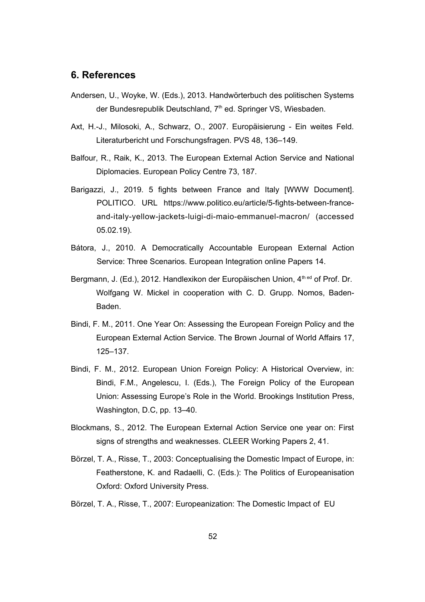#### **6. References**

- Andersen, U., Woyke, W. (Eds.), 2013. Handwörterbuch des politischen Systems der Bundesrepublik Deutschland, 7<sup>th</sup> ed. Springer VS, Wiesbaden.
- Axt, H.-J., Milosoki, A., Schwarz, O., 2007. Europäisierung Ein weites Feld. Literaturbericht und Forschungsfragen. PVS 48, 136–149.
- Balfour, R., Raik, K., 2013. The European External Action Service and National Diplomacies. European Policy Centre 73, 187.
- Barigazzi, J., 2019. 5 fights between France and Italy [WWW Document]. POLITICO. URL https://www.politico.eu/article/5-fights-between-franceand-italy-yellow-jackets-luigi-di-maio-emmanuel-macron/ (accessed 05.02.19).
- Bátora, J., 2010. A Democratically Accountable European External Action Service: Three Scenarios. European Integration online Papers 14.
- Bergmann, J. (Ed.), 2012. Handlexikon der Europäischen Union, 4<sup>th ed</sup> of Prof. Dr. Wolfgang W. Mickel in cooperation with C. D. Grupp. Nomos, Baden-Baden.
- Bindi, F. M., 2011. One Year On: Assessing the European Foreign Policy and the European External Action Service. The Brown Journal of World Affairs 17, 125–137.
- Bindi, F. M., 2012. European Union Foreign Policy: A Historical Overview, in: Bindi, F.M., Angelescu, I. (Eds.), The Foreign Policy of the European Union: Assessing Europe's Role in the World. Brookings Institution Press, Washington, D.C, pp. 13–40.
- Blockmans, S., 2012. The European External Action Service one year on: First signs of strengths and weaknesses. CLEER Working Papers 2, 41.
- Börzel, T. A., Risse, T., 2003: Conceptualising the Domestic Impact of Europe, in: Featherstone, K. and Radaelli, C. (Eds.): The Politics of Europeanisation Oxford: Oxford University Press.
- Börzel, T. A., Risse, T., 2007: Europeanization: The Domestic Impact of EU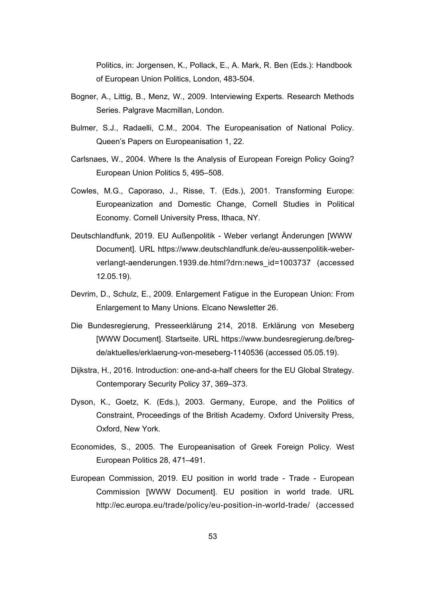Politics, in: Jorgensen, K., Pollack, E., A. Mark, R. Ben (Eds.): Handbook of European Union Politics, London, 483-504.

- Bogner, A., Littig, B., Menz, W., 2009. Interviewing Experts. Research Methods Series. Palgrave Macmillan, London.
- Bulmer, S.J., Radaelli, C.M., 2004. The Europeanisation of National Policy. Queen's Papers on Europeanisation 1, 22.
- Carlsnaes, W., 2004. Where Is the Analysis of European Foreign Policy Going? European Union Politics 5, 495–508.
- Cowles, M.G., Caporaso, J., Risse, T. (Eds.), 2001. Transforming Europe: Europeanization and Domestic Change, Cornell Studies in Political Economy. Cornell University Press, Ithaca, NY.
- Deutschlandfunk, 2019. EU Außenpolitik Weber verlangt Änderungen [WWW Document]. URL https://www.deutschlandfunk.de/eu-aussenpolitik-weberverlangt-aenderungen.1939.de.html?drn:news\_id=1003737 (accessed 12.05.19).
- Devrim, D., Schulz, E., 2009. Enlargement Fatigue in the European Union: From Enlargement to Many Unions. Elcano Newsletter 26.
- Die Bundesregierung, Presseerklärung 214, 2018. Erklärung von Meseberg [WWW Document]. Startseite. URL https://www.bundesregierung.de/bregde/aktuelles/erklaerung-von-meseberg-1140536 (accessed 05.05.19).
- Dijkstra, H., 2016. Introduction: one-and-a-half cheers for the EU Global Strategy. Contemporary Security Policy 37, 369–373.
- Dyson, K., Goetz, K. (Eds.), 2003. Germany, Europe, and the Politics of Constraint, Proceedings of the British Academy. Oxford University Press, Oxford, New York.
- Economides, S., 2005. The Europeanisation of Greek Foreign Policy. West European Politics 28, 471–491.
- European Commission, 2019. EU position in world trade Trade European Commission [WWW Document]. EU position in world trade. URL http://ec.europa.eu/trade/policy/eu-position-in-world-trade/ (accessed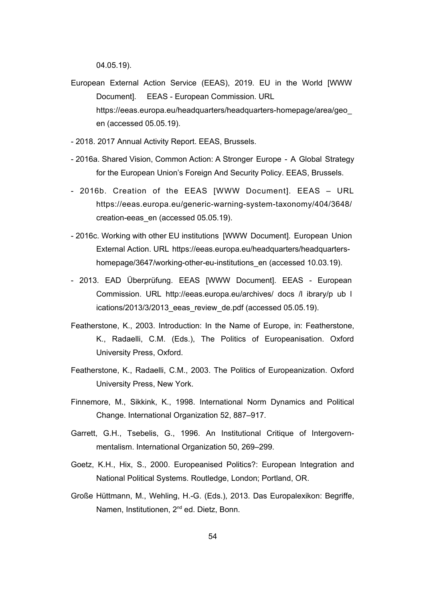04.05.19).

- European External Action Service (EEAS), 2019. EU in the World [WWW Document]. EEAS - European Commission. URL https://eeas.europa.eu/headquarters/headquarters-homepage/area/geo\_ en (accessed 05.05.19).
- 2018. 2017 Annual Activity Report. EEAS, Brussels.
- 2016a. Shared Vision, Common Action: A Stronger Europe A Global Strategy for the European Union's Foreign And Security Policy. EEAS, Brussels.
- 2016b. Creation of the EEAS [WWW Document]. EEAS URL https://eeas.europa.eu/generic-warning-system-taxonomy/404/3648/ creation-eeas\_en (accessed 05.05.19).
- 2016c. Working with other EU institutions [WWW Document]. European Union External Action. URL https://eeas.europa.eu/headquarters/headquartershomepage/3647/working-other-eu-institutions\_en (accessed 10.03.19).
- 2013. EAD Überprüfung. EEAS [WWW Document]. EEAS European Commission. URL http://eeas.europa.eu/archives/ docs /l ibrary/p ub l ications/2013/3/2013\_eeas\_review\_de.pdf (accessed 05.05.19).
- Featherstone, K., 2003. Introduction: In the Name of Europe, in: Featherstone, K., Radaelli, C.M. (Eds.), The Politics of Europeanisation. Oxford University Press, Oxford.
- Featherstone, K., Radaelli, C.M., 2003. The Politics of Europeanization. Oxford University Press, New York.
- Finnemore, M., Sikkink, K., 1998. International Norm Dynamics and Political Change. International Organization 52, 887–917.
- Garrett, G.H., Tsebelis, G., 1996. An Institutional Critique of Intergovernmentalism. International Organization 50, 269–299.
- Goetz, K.H., Hix, S., 2000. Europeanised Politics?: European Integration and National Political Systems. Routledge, London; Portland, OR.
- Große Hüttmann, M., Wehling, H.-G. (Eds.), 2013. Das Europalexikon: Begriffe, Namen, Institutionen, 2<sup>nd</sup> ed. Dietz, Bonn.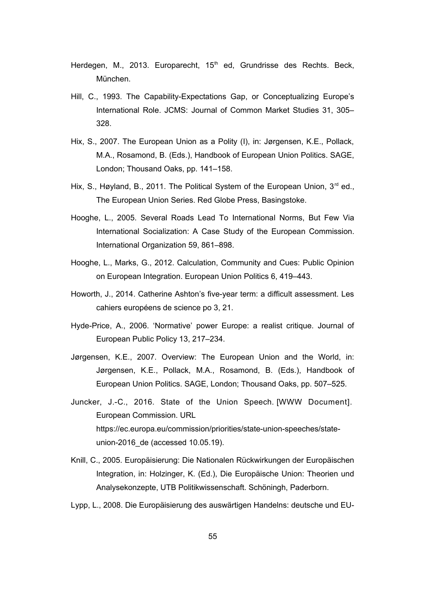- Herdegen, M., 2013. Europarecht, 15<sup>th</sup> ed, Grundrisse des Rechts. Beck, München.
- Hill, C., 1993. The Capability-Expectations Gap, or Conceptualizing Europe's International Role. JCMS: Journal of Common Market Studies 31, 305– 328.
- Hix, S., 2007. The European Union as a Polity (I), in: Jørgensen, K.E., Pollack, M.A., Rosamond, B. (Eds.), Handbook of European Union Politics. SAGE, London; Thousand Oaks, pp. 141–158.
- Hix, S., Høyland, B., 2011. The Political System of the European Union,  $3<sup>rd</sup>$  ed., The European Union Series. Red Globe Press, Basingstoke.
- Hooghe, L., 2005. Several Roads Lead To International Norms, But Few Via International Socialization: A Case Study of the European Commission. International Organization 59, 861–898.
- Hooghe, L., Marks, G., 2012. Calculation, Community and Cues: Public Opinion on European Integration. European Union Politics 6, 419–443.
- Howorth, J., 2014. Catherine Ashton's five-year term: a difficult assessment. Les cahiers européens de science po 3, 21.
- Hyde-Price, A., 2006. 'Normative' power Europe: a realist critique. Journal of European Public Policy 13, 217–234.
- Jørgensen, K.E., 2007. Overview: The European Union and the World, in: Jørgensen, K.E., Pollack, M.A., Rosamond, B. (Eds.), Handbook of European Union Politics. SAGE, London; Thousand Oaks, pp. 507–525.
- Juncker, J.-C., 2016. State of the Union Speech. [WWW Document]. European Commission. URL https://ec.europa.eu/commission/priorities/state-union-speeches/stateunion-2016\_de (accessed 10.05.19).
- Knill, C., 2005. Europäisierung: Die Nationalen Rückwirkungen der Europäischen Integration, in: Holzinger, K. (Ed.), Die Europäische Union: Theorien und Analysekonzepte, UTB Politikwissenschaft. Schöningh, Paderborn.
- Lypp, L., 2008. Die Europäisierung des auswärtigen Handelns: deutsche und EU-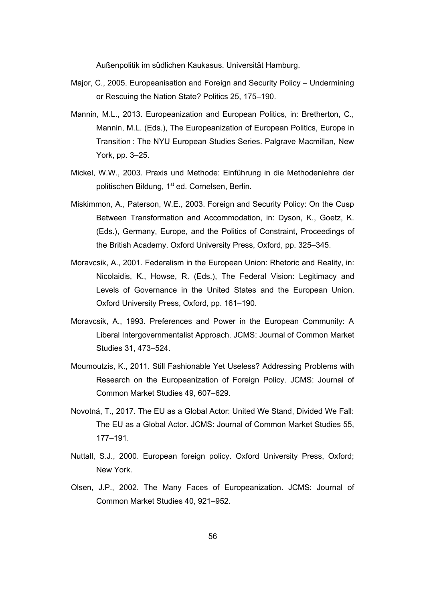Außenpolitik im südlichen Kaukasus. Universität Hamburg.

- Major, C., 2005. Europeanisation and Foreign and Security Policy Undermining or Rescuing the Nation State? Politics 25, 175–190.
- Mannin, M.L., 2013. Europeanization and European Politics, in: Bretherton, C., Mannin, M.L. (Eds.), The Europeanization of European Politics, Europe in Transition : The NYU European Studies Series. Palgrave Macmillan, New York, pp. 3–25.
- Mickel, W.W., 2003. Praxis und Methode: Einführung in die Methodenlehre der politischen Bildung, 1<sup>st</sup> ed. Cornelsen, Berlin.
- Miskimmon, A., Paterson, W.E., 2003. Foreign and Security Policy: On the Cusp Between Transformation and Accommodation, in: Dyson, K., Goetz, K. (Eds.), Germany, Europe, and the Politics of Constraint, Proceedings of the British Academy. Oxford University Press, Oxford, pp. 325–345.
- Moravcsik, A., 2001. Federalism in the European Union: Rhetoric and Reality, in: Nicolaidis, K., Howse, R. (Eds.), The Federal Vision: Legitimacy and Levels of Governance in the United States and the European Union. Oxford University Press, Oxford, pp. 161–190.
- Moravcsik, A., 1993. Preferences and Power in the European Community: A Liberal Intergovernmentalist Approach. JCMS: Journal of Common Market Studies 31, 473–524.
- Moumoutzis, K., 2011. Still Fashionable Yet Useless? Addressing Problems with Research on the Europeanization of Foreign Policy. JCMS: Journal of Common Market Studies 49, 607–629.
- Novotná, T., 2017. The EU as a Global Actor: United We Stand, Divided We Fall: The EU as a Global Actor. JCMS: Journal of Common Market Studies 55, 177–191.
- Nuttall, S.J., 2000. European foreign policy. Oxford University Press, Oxford; New York.
- Olsen, J.P., 2002. The Many Faces of Europeanization. JCMS: Journal of Common Market Studies 40, 921–952.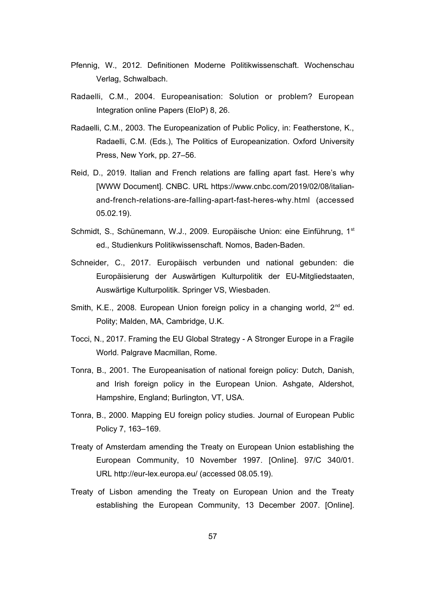- Pfennig, W., 2012. Definitionen Moderne Politikwissenschaft. Wochenschau Verlag, Schwalbach.
- Radaelli, C.M., 2004. Europeanisation: Solution or problem? European Integration online Papers (EIoP) 8, 26.
- Radaelli, C.M., 2003. The Europeanization of Public Policy, in: Featherstone, K., Radaelli, C.M. (Eds.), The Politics of Europeanization. Oxford University Press, New York, pp. 27–56.
- Reid, D., 2019. Italian and French relations are falling apart fast. Here's why [WWW Document]. CNBC. URL https://www.cnbc.com/2019/02/08/italianand-french-relations-are-falling-apart-fast-heres-why.html (accessed 05.02.19).
- Schmidt, S., Schünemann, W.J., 2009. Europäische Union: eine Einführung, 1st ed., Studienkurs Politikwissenschaft. Nomos, Baden-Baden.
- Schneider, C., 2017. Europäisch verbunden und national gebunden: die Europäisierung der Auswärtigen Kulturpolitik der EU-Mitgliedstaaten, Auswärtige Kulturpolitik. Springer VS, Wiesbaden.
- Smith, K.E., 2008. European Union foreign policy in a changing world, 2<sup>nd</sup> ed. Polity; Malden, MA, Cambridge, U.K.
- Tocci, N., 2017. Framing the EU Global Strategy A Stronger Europe in a Fragile World. Palgrave Macmillan, Rome.
- Tonra, B., 2001. The Europeanisation of national foreign policy: Dutch, Danish, and Irish foreign policy in the European Union. Ashgate, Aldershot, Hampshire, England; Burlington, VT, USA.
- Tonra, B., 2000. Mapping EU foreign policy studies. Journal of European Public Policy 7, 163–169.
- Treaty of Amsterdam amending the Treaty on European Union establishing the European Community, 10 November 1997. [Online]. 97/C 340/01. URL http://eur-lex.europa.eu/ (accessed 08.05.19).
- Treaty of Lisbon amending the Treaty on European Union and the Treaty establishing the European Community, 13 December 2007. [Online].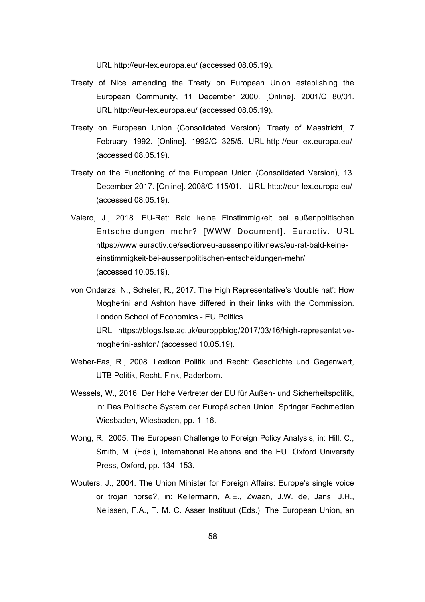URL http://eur-lex.europa.eu/ (accessed 08.05.19).

- Treaty of Nice amending the Treaty on European Union establishing the European Community, 11 December 2000. [Online]. 2001/C 80/01. URL http://eur-lex.europa.eu/ (accessed 08.05.19).
- Treaty on European Union (Consolidated Version), Treaty of Maastricht, 7 February 1992. [Online]. 1992/C 325/5. URL http://eur-lex.europa.eu/ (accessed 08.05.19).
- Treaty on the Functioning of the European Union (Consolidated Version), 13 December 2017. [Online]. 2008/C 115/01. URL http://eur-lex.europa.eu/ (accessed 08.05.19).
- Valero, J., 2018. EU-Rat: Bald keine Einstimmigkeit bei außenpolitischen Entscheidungen mehr? [WWW Document]. Euractiv. URL https://www.euractiv.de/section/eu-aussenpolitik/news/eu-rat-bald-keineeinstimmigkeit-bei-aussenpolitischen-entscheidungen-mehr/ (accessed 10.05.19).
- von Ondarza, N., Scheler, R., 2017. The High Representative's 'double hat': How Mogherini and Ashton have differed in their links with the Commission. London School of Economics - EU Politics. URL https://blogs.lse.ac.uk/europpblog/2017/03/16/high-representativemogherini-ashton/ (accessed 10.05.19).
- Weber-Fas, R., 2008. Lexikon Politik und Recht: Geschichte und Gegenwart, UTB Politik, Recht. Fink, Paderborn.
- Wessels, W., 2016. Der Hohe Vertreter der EU für Außen- und Sicherheitspolitik, in: Das Politische System der Europäischen Union. Springer Fachmedien Wiesbaden, Wiesbaden, pp. 1–16.
- Wong, R., 2005. The European Challenge to Foreign Policy Analysis, in: Hill, C., Smith, M. (Eds.), International Relations and the EU. Oxford University Press, Oxford, pp. 134–153.
- Wouters, J., 2004. The Union Minister for Foreign Affairs: Europe's single voice or trojan horse?, in: Kellermann, A.E., Zwaan, J.W. de, Jans, J.H., Nelissen, F.A., T. M. C. Asser Instituut (Eds.), The European Union, an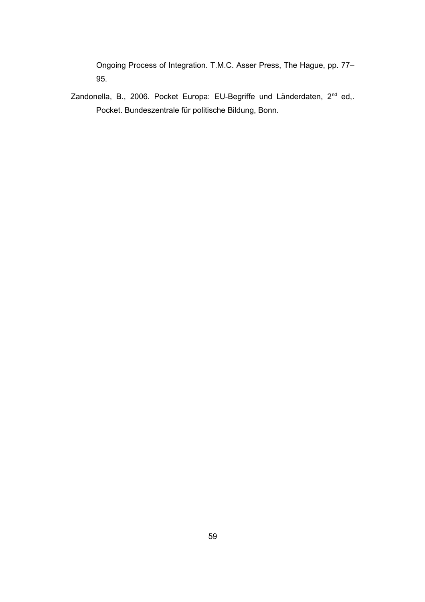Ongoing Process of Integration. T.M.C. Asser Press, The Hague, pp. 77– 95.

Zandonella, B., 2006. Pocket Europa: EU-Begriffe und Länderdaten, 2<sup>nd</sup> ed,. Pocket. Bundeszentrale für politische Bildung, Bonn.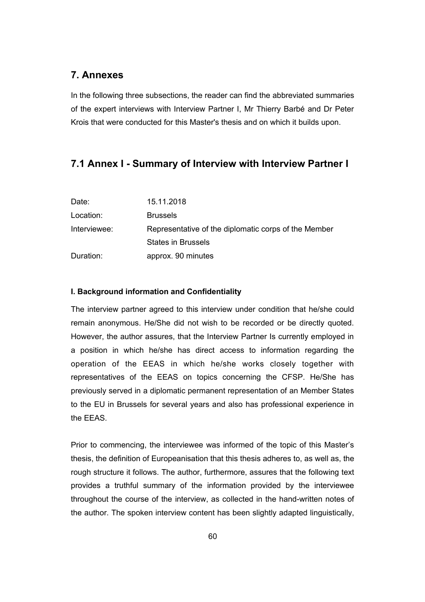## **7. Annexes**

In the following three subsections, the reader can find the abbreviated summaries of the expert interviews with Interview Partner I, Mr Thierry Barbé and Dr Peter Krois that were conducted for this Master's thesis and on which it builds upon.

#### **7.1 Annex I - Summary of Interview with Interview Partner I**

| Date:        | 15.11.2018                                           |
|--------------|------------------------------------------------------|
| Location:    | <b>Brussels</b>                                      |
| Interviewee: | Representative of the diplomatic corps of the Member |
|              | <b>States in Brussels</b>                            |
| Duration:    | approx. 90 minutes                                   |

#### **I. Background information and Confidentiality**

The interview partner agreed to this interview under condition that he/she could remain anonymous. He/She did not wish to be recorded or be directly quoted. However, the author assures, that the Interview Partner Is currently employed in a position in which he/she has direct access to information regarding the operation of the EEAS in which he/she works closely together with representatives of the EEAS on topics concerning the CFSP. He/She has previously served in a diplomatic permanent representation of an Member States to the EU in Brussels for several years and also has professional experience in the EEAS.

Prior to commencing, the interviewee was informed of the topic of this Master's thesis, the definition of Europeanisation that this thesis adheres to, as well as, the rough structure it follows. The author, furthermore, assures that the following text provides a truthful summary of the information provided by the interviewee throughout the course of the interview, as collected in the hand-written notes of the author. The spoken interview content has been slightly adapted linguistically,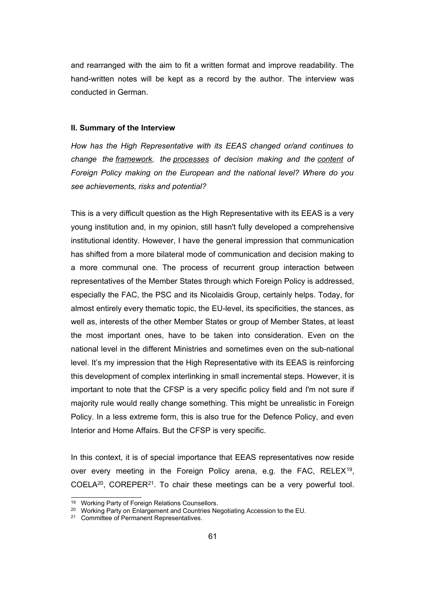and rearranged with the aim to fit a written format and improve readability. The hand-written notes will be kept as a record by the author. The interview was conducted in German.

#### **II. Summary of the Interview**

*How has the High Representative with its EEAS changed or/and continues to change the framework, the processes of decision making and the content of Foreign Policy making on the European and the national level? Where do you see achievements, risks and potential?* 

This is a very difficult question as the High Representative with its EEAS is a very young institution and, in my opinion, still hasn't fully developed a comprehensive institutional identity. However, I have the general impression that communication has shifted from a more bilateral mode of communication and decision making to a more communal one. The process of recurrent group interaction between representatives of the Member States through which Foreign Policy is addressed, especially the FAC, the PSC and its Nicolaidis Group, certainly helps. Today, for almost entirely every thematic topic, the EU-level, its specificities, the stances, as well as, interests of the other Member States or group of Member States, at least the most important ones, have to be taken into consideration. Even on the national level in the different Ministries and sometimes even on the sub-national level. It's my impression that the High Representative with its EEAS is reinforcing this development of complex interlinking in small incremental steps. However, it is important to note that the CFSP is a very specific policy field and I'm not sure if majority rule would really change something. This might be unrealistic in Foreign Policy. In a less extreme form, this is also true for the Defence Policy, and even Interior and Home Affairs. But the CFSP is very specific.

In this context, it is of special importance that EEAS representatives now reside over every meeting in the Foreign Policy arena, e.g. the FAC, RELEX<sup>[19](#page-66-0)</sup>, COELA[20](#page-66-1), COREPER[21](#page-66-2). To chair these meetings can be a very powerful tool.

<span id="page-66-0"></span><sup>19</sup> Working Party of Foreign Relations Counsellors.

<span id="page-66-1"></span><sup>&</sup>lt;sup>20</sup> Working Party on Enlargement and Countries Negotiating Accession to the EU.

<span id="page-66-2"></span><sup>&</sup>lt;sup>21</sup> Committee of Permanent Representatives.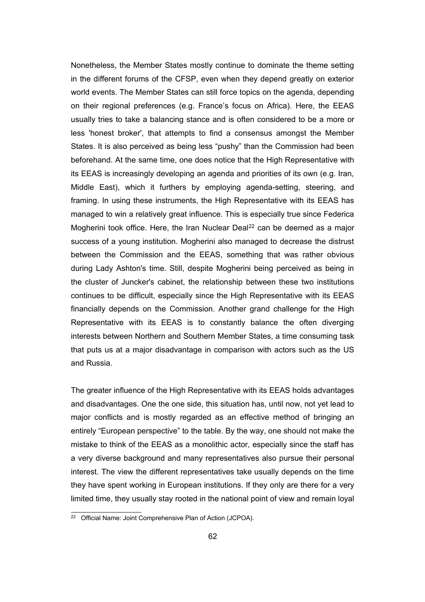Nonetheless, the Member States mostly continue to dominate the theme setting in the different forums of the CFSP, even when they depend greatly on exterior world events. The Member States can still force topics on the agenda, depending on their regional preferences (e.g. France's focus on Africa). Here, the EEAS usually tries to take a balancing stance and is often considered to be a more or less 'honest broker', that attempts to find a consensus amongst the Member States. It is also perceived as being less "pushy" than the Commission had been beforehand. At the same time, one does notice that the High Representative with its EEAS is increasingly developing an agenda and priorities of its own (e.g. Iran, Middle East), which it furthers by employing agenda-setting, steering, and framing. In using these instruments, the High Representative with its EEAS has managed to win a relatively great influence. This is especially true since Federica Mogherini took office. Here, the Iran Nuclear Deal<sup>[22](#page-67-0)</sup> can be deemed as a major success of a young institution. Mogherini also managed to decrease the distrust between the Commission and the EEAS, something that was rather obvious during Lady Ashton's time. Still, despite Mogherini being perceived as being in the cluster of Juncker's cabinet, the relationship between these two institutions continues to be difficult, especially since the High Representative with its EEAS financially depends on the Commission. Another grand challenge for the High Representative with its EEAS is to constantly balance the often diverging interests between Northern and Southern Member States, a time consuming task that puts us at a major disadvantage in comparison with actors such as the US and Russia.

The greater influence of the High Representative with its EEAS holds advantages and disadvantages. One the one side, this situation has, until now, not yet lead to major conflicts and is mostly regarded as an effective method of bringing an entirely "European perspective" to the table. By the way, one should not make the mistake to think of the EEAS as a monolithic actor, especially since the staff has a very diverse background and many representatives also pursue their personal interest. The view the different representatives take usually depends on the time they have spent working in European institutions. If they only are there for a very limited time, they usually stay rooted in the national point of view and remain loyal

<span id="page-67-0"></span><sup>&</sup>lt;sup>22</sup> Official Name: Joint Comprehensive Plan of Action (JCPOA).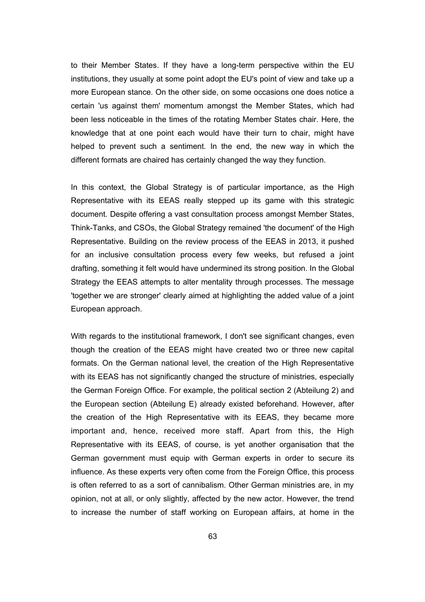to their Member States. If they have a long-term perspective within the EU institutions, they usually at some point adopt the EU's point of view and take up a more European stance. On the other side, on some occasions one does notice a certain 'us against them' momentum amongst the Member States, which had been less noticeable in the times of the rotating Member States chair. Here, the knowledge that at one point each would have their turn to chair, might have helped to prevent such a sentiment. In the end, the new way in which the different formats are chaired has certainly changed the way they function.

In this context, the Global Strategy is of particular importance, as the High Representative with its EEAS really stepped up its game with this strategic document. Despite offering a vast consultation process amongst Member States, Think-Tanks, and CSOs, the Global Strategy remained 'the document' of the High Representative. Building on the review process of the EEAS in 2013, it pushed for an inclusive consultation process every few weeks, but refused a joint drafting, something it felt would have undermined its strong position. In the Global Strategy the EEAS attempts to alter mentality through processes. The message 'together we are stronger' clearly aimed at highlighting the added value of a joint European approach.

With regards to the institutional framework, I don't see significant changes, even though the creation of the EEAS might have created two or three new capital formats. On the German national level, the creation of the High Representative with its EEAS has not significantly changed the structure of ministries, especially the German Foreign Office. For example, the political section 2 (Abteilung 2) and the European section (Abteilung E) already existed beforehand. However, after the creation of the High Representative with its EEAS, they became more important and, hence, received more staff. Apart from this, the High Representative with its EEAS, of course, is yet another organisation that the German government must equip with German experts in order to secure its influence. As these experts very often come from the Foreign Office, this process is often referred to as a sort of cannibalism. Other German ministries are, in my opinion, not at all, or only slightly, affected by the new actor. However, the trend to increase the number of staff working on European affairs, at home in the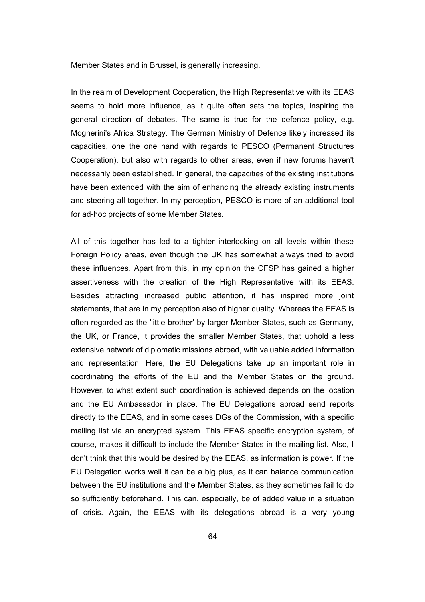Member States and in Brussel, is generally increasing.

In the realm of Development Cooperation, the High Representative with its EEAS seems to hold more influence, as it quite often sets the topics, inspiring the general direction of debates. The same is true for the defence policy, e.g. Mogherini's Africa Strategy. The German Ministry of Defence likely increased its capacities, one the one hand with regards to PESCO (Permanent Structures Cooperation), but also with regards to other areas, even if new forums haven't necessarily been established. In general, the capacities of the existing institutions have been extended with the aim of enhancing the already existing instruments and steering all-together. In my perception, PESCO is more of an additional tool for ad-hoc projects of some Member States.

All of this together has led to a tighter interlocking on all levels within these Foreign Policy areas, even though the UK has somewhat always tried to avoid these influences. Apart from this, in my opinion the CFSP has gained a higher assertiveness with the creation of the High Representative with its EEAS. Besides attracting increased public attention, it has inspired more joint statements, that are in my perception also of higher quality. Whereas the EEAS is often regarded as the 'little brother' by larger Member States, such as Germany, the UK, or France, it provides the smaller Member States, that uphold a less extensive network of diplomatic missions abroad, with valuable added information and representation. Here, the EU Delegations take up an important role in coordinating the efforts of the EU and the Member States on the ground. However, to what extent such coordination is achieved depends on the location and the EU Ambassador in place. The EU Delegations abroad send reports directly to the EEAS, and in some cases DGs of the Commission, with a specific mailing list via an encrypted system. This EEAS specific encryption system, of course, makes it difficult to include the Member States in the mailing list. Also, I don't think that this would be desired by the EEAS, as information is power. If the EU Delegation works well it can be a big plus, as it can balance communication between the EU institutions and the Member States, as they sometimes fail to do so sufficiently beforehand. This can, especially, be of added value in a situation of crisis. Again, the EEAS with its delegations abroad is a very young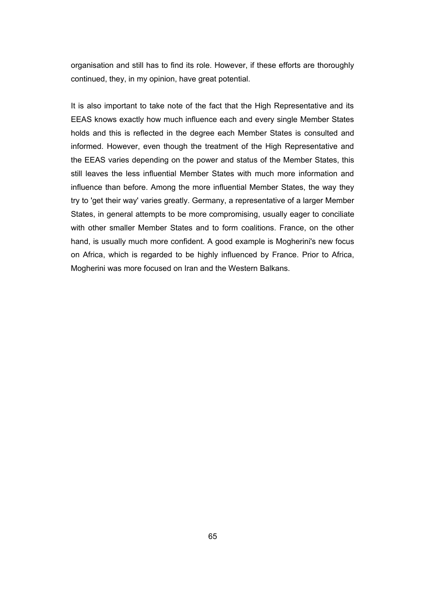organisation and still has to find its role. However, if these efforts are thoroughly continued, they, in my opinion, have great potential.

It is also important to take note of the fact that the High Representative and its EEAS knows exactly how much influence each and every single Member States holds and this is reflected in the degree each Member States is consulted and informed. However, even though the treatment of the High Representative and the EEAS varies depending on the power and status of the Member States, this still leaves the less influential Member States with much more information and influence than before. Among the more influential Member States, the way they try to 'get their way' varies greatly. Germany, a representative of a larger Member States, in general attempts to be more compromising, usually eager to conciliate with other smaller Member States and to form coalitions. France, on the other hand, is usually much more confident. A good example is Mogherini's new focus on Africa, which is regarded to be highly influenced by France. Prior to Africa, Mogherini was more focused on Iran and the Western Balkans.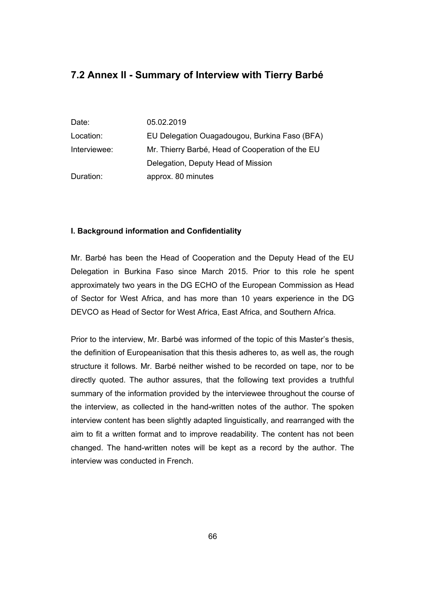# **7.2 Annex II - Summary of Interview with Tierry Barbé**

| Date:        | 05.02.2019                                       |
|--------------|--------------------------------------------------|
| Location:    | EU Delegation Ouagadougou, Burkina Faso (BFA)    |
| Interviewee: | Mr. Thierry Barbé, Head of Cooperation of the EU |
|              | Delegation, Deputy Head of Mission               |
| Duration:    | approx. 80 minutes                               |

#### **I. Background information and Confidentiality**

Mr. Barbé has been the Head of Cooperation and the Deputy Head of the EU Delegation in Burkina Faso since March 2015. Prior to this role he spent approximately two years in the DG ECHO of the European Commission as Head of Sector for West Africa, and has more than 10 years experience in the DG DEVCO as Head of Sector for West Africa, East Africa, and Southern Africa.

Prior to the interview, Mr. Barbé was informed of the topic of this Master's thesis, the definition of Europeanisation that this thesis adheres to, as well as, the rough structure it follows. Mr. Barbé neither wished to be recorded on tape, nor to be directly quoted. The author assures, that the following text provides a truthful summary of the information provided by the interviewee throughout the course of the interview, as collected in the hand-written notes of the author. The spoken interview content has been slightly adapted linguistically, and rearranged with the aim to fit a written format and to improve readability. The content has not been changed. The hand-written notes will be kept as a record by the author. The interview was conducted in French.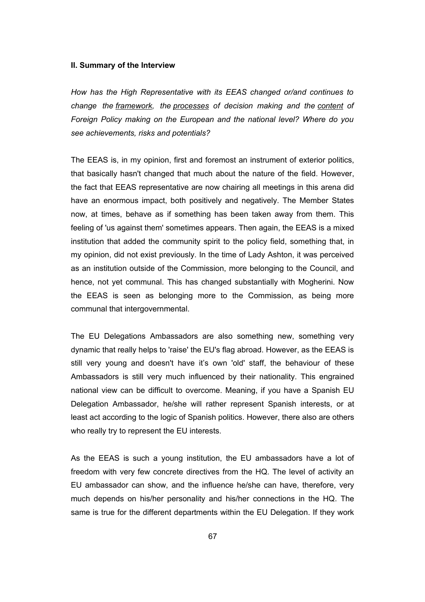#### **II. Summary of the Interview**

*How has the High Representative with its EEAS changed or/and continues to change the framework, the processes of decision making and the content of Foreign Policy making on the European and the national level? Where do you see achievements, risks and potentials?* 

The EEAS is, in my opinion, first and foremost an instrument of exterior politics, that basically hasn't changed that much about the nature of the field. However, the fact that EEAS representative are now chairing all meetings in this arena did have an enormous impact, both positively and negatively. The Member States now, at times, behave as if something has been taken away from them. This feeling of 'us against them' sometimes appears. Then again, the EEAS is a mixed institution that added the community spirit to the policy field, something that, in my opinion, did not exist previously. In the time of Lady Ashton, it was perceived as an institution outside of the Commission, more belonging to the Council, and hence, not yet communal. This has changed substantially with Mogherini. Now the EEAS is seen as belonging more to the Commission, as being more communal that intergovernmental.

The EU Delegations Ambassadors are also something new, something very dynamic that really helps to 'raise' the EU's flag abroad. However, as the EEAS is still very young and doesn't have it's own 'old' staff, the behaviour of these Ambassadors is still very much influenced by their nationality. This engrained national view can be difficult to overcome. Meaning, if you have a Spanish EU Delegation Ambassador, he/she will rather represent Spanish interests, or at least act according to the logic of Spanish politics. However, there also are others who really try to represent the EU interests.

As the EEAS is such a young institution, the EU ambassadors have a lot of freedom with very few concrete directives from the HQ. The level of activity an EU ambassador can show, and the influence he/she can have, therefore, very much depends on his/her personality and his/her connections in the HQ. The same is true for the different departments within the EU Delegation. If they work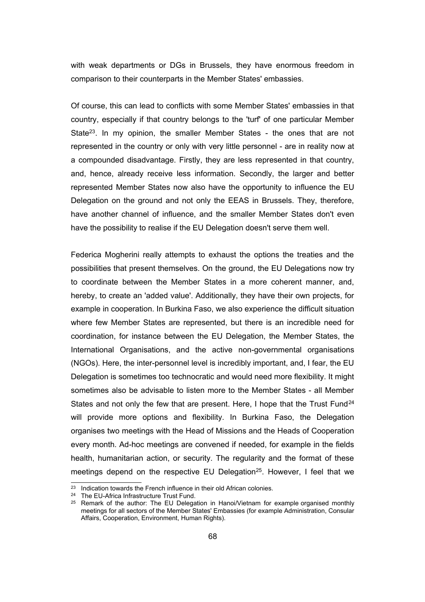with weak departments or DGs in Brussels, they have enormous freedom in comparison to their counterparts in the Member States' embassies.

Of course, this can lead to conflicts with some Member States' embassies in that country, especially if that country belongs to the 'turf' of one particular Member State<sup>[23](#page-73-0)</sup>. In my opinion, the smaller Member States - the ones that are not represented in the country or only with very little personnel - are in reality now at a compounded disadvantage. Firstly, they are less represented in that country, and, hence, already receive less information. Secondly, the larger and better represented Member States now also have the opportunity to influence the EU Delegation on the ground and not only the EEAS in Brussels. They, therefore, have another channel of influence, and the smaller Member States don't even have the possibility to realise if the EU Delegation doesn't serve them well.

Federica Mogherini really attempts to exhaust the options the treaties and the possibilities that present themselves. On the ground, the EU Delegations now try to coordinate between the Member States in a more coherent manner, and, hereby, to create an 'added value'. Additionally, they have their own projects, for example in cooperation. In Burkina Faso, we also experience the difficult situation where few Member States are represented, but there is an incredible need for coordination, for instance between the EU Delegation, the Member States, the International Organisations, and the active non-governmental organisations (NGOs). Here, the inter-personnel level is incredibly important, and, I fear, the EU Delegation is sometimes too technocratic and would need more flexibility. It might sometimes also be advisable to listen more to the Member States - all Member States and not only the few that are present. Here, I hope that the Trust Fund<sup>[24](#page-73-1)</sup> will provide more options and flexibility. In Burkina Faso, the Delegation organises two meetings with the Head of Missions and the Heads of Cooperation every month. Ad-hoc meetings are convened if needed, for example in the fields health, humanitarian action, or security. The regularity and the format of these meetings depend on the respective EU Delegation<sup>[25](#page-73-2)</sup>. However, I feel that we

<span id="page-73-0"></span><sup>&</sup>lt;sup>23</sup> Indication towards the French influence in their old African colonies.

<span id="page-73-1"></span><sup>&</sup>lt;sup>24</sup> The EU-Africa Infrastructure Trust Fund.

<span id="page-73-2"></span> $25$  Remark of the author: The EU Delegation in Hanoi/Vietnam for example organised monthly meetings for all sectors of the Member States' Embassies (for example Administration, Consular Affairs, Cooperation, Environment, Human Rights).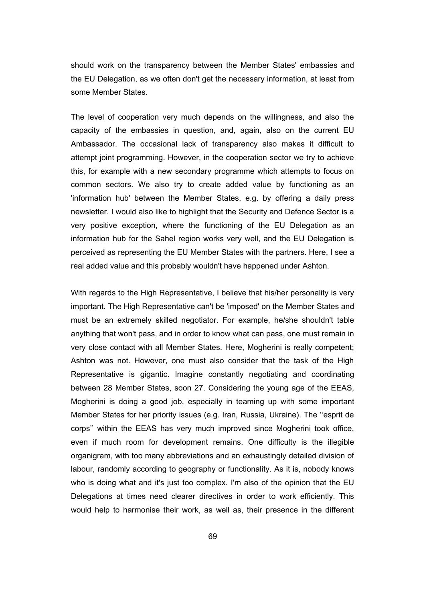should work on the transparency between the Member States' embassies and the EU Delegation, as we often don't get the necessary information, at least from some Member States.

The level of cooperation very much depends on the willingness, and also the capacity of the embassies in question, and, again, also on the current EU Ambassador. The occasional lack of transparency also makes it difficult to attempt joint programming. However, in the cooperation sector we try to achieve this, for example with a new secondary programme which attempts to focus on common sectors. We also try to create added value by functioning as an 'information hub' between the Member States, e.g. by offering a daily press newsletter. I would also like to highlight that the Security and Defence Sector is a very positive exception, where the functioning of the EU Delegation as an information hub for the Sahel region works very well, and the EU Delegation is perceived as representing the EU Member States with the partners. Here, I see a real added value and this probably wouldn't have happened under Ashton.

With regards to the High Representative, I believe that his/her personality is very important. The High Representative can't be 'imposed' on the Member States and must be an extremely skilled negotiator. For example, he/she shouldn't table anything that won't pass, and in order to know what can pass, one must remain in very close contact with all Member States. Here, Mogherini is really competent; Ashton was not. However, one must also consider that the task of the High Representative is gigantic. Imagine constantly negotiating and coordinating between 28 Member States, soon 27. Considering the young age of the EEAS, Mogherini is doing a good job, especially in teaming up with some important Member States for her priority issues (e.g. Iran, Russia, Ukraine). The ''esprit de corps'' within the EEAS has very much improved since Mogherini took office, even if much room for development remains. One difficulty is the illegible organigram, with too many abbreviations and an exhaustingly detailed division of labour, randomly according to geography or functionality. As it is, nobody knows who is doing what and it's just too complex. I'm also of the opinion that the EU Delegations at times need clearer directives in order to work efficiently. This would help to harmonise their work, as well as, their presence in the different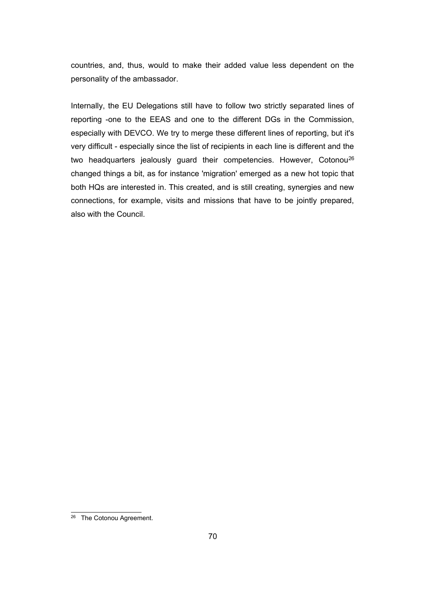countries, and, thus, would to make their added value less dependent on the personality of the ambassador.

Internally, the EU Delegations still have to follow two strictly separated lines of reporting -one to the EEAS and one to the different DGs in the Commission, especially with DEVCO. We try to merge these different lines of reporting, but it's very difficult - especially since the list of recipients in each line is different and the two headquarters jealously guard their competencies. However, Cotonou[26](#page-75-0) changed things a bit, as for instance 'migration' emerged as a new hot topic that both HQs are interested in. This created, and is still creating, synergies and new connections, for example, visits and missions that have to be jointly prepared, also with the Council.

<span id="page-75-0"></span><sup>&</sup>lt;sup>26</sup> The Cotonou Agreement.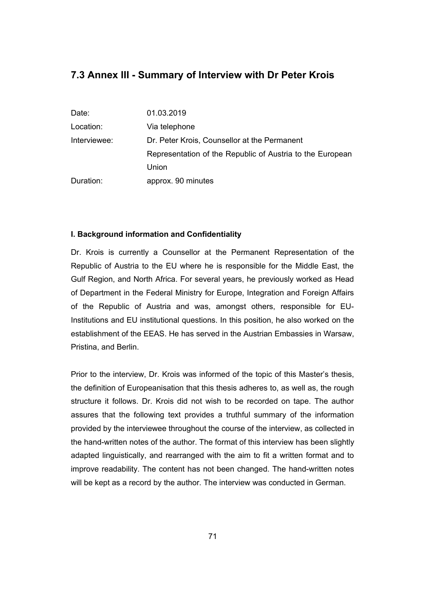# **7.3 Annex III - Summary of Interview with Dr Peter Krois**

| Date:        | 01.03.2019                                                |
|--------------|-----------------------------------------------------------|
| Location:    | Via telephone                                             |
| Interviewee: | Dr. Peter Krois, Counsellor at the Permanent              |
|              | Representation of the Republic of Austria to the European |
|              | Union                                                     |
| Duration:    | approx. 90 minutes                                        |

### **I. Background information and Confidentiality**

Dr. Krois is currently a Counsellor at the Permanent Representation of the Republic of Austria to the EU where he is responsible for the Middle East, the Gulf Region, and North Africa. For several years, he previously worked as Head of Department in the Federal Ministry for Europe, Integration and Foreign Affairs of the Republic of Austria and was, amongst others, responsible for EU-Institutions and EU institutional questions. In this position, he also worked on the establishment of the EEAS. He has served in the Austrian Embassies in Warsaw, Pristina, and Berlin.

Prior to the interview, Dr. Krois was informed of the topic of this Master's thesis, the definition of Europeanisation that this thesis adheres to, as well as, the rough structure it follows. Dr. Krois did not wish to be recorded on tape. The author assures that the following text provides a truthful summary of the information provided by the interviewee throughout the course of the interview, as collected in the hand-written notes of the author. The format of this interview has been slightly adapted linguistically, and rearranged with the aim to fit a written format and to improve readability. The content has not been changed. The hand-written notes will be kept as a record by the author. The interview was conducted in German.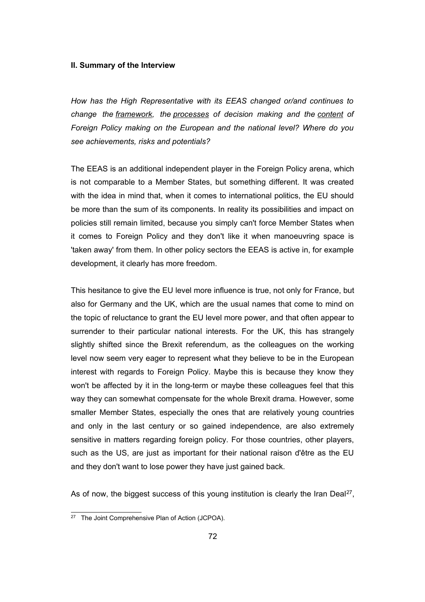#### **II. Summary of the Interview**

*How has the High Representative with its EEAS changed or/and continues to change the framework, the processes of decision making and the content of Foreign Policy making on the European and the national level? Where do you see achievements, risks and potentials?* 

The EEAS is an additional independent player in the Foreign Policy arena, which is not comparable to a Member States, but something different. It was created with the idea in mind that, when it comes to international politics, the EU should be more than the sum of its components. In reality its possibilities and impact on policies still remain limited, because you simply can't force Member States when it comes to Foreign Policy and they don't like it when manoeuvring space is 'taken away' from them. In other policy sectors the EEAS is active in, for example development, it clearly has more freedom.

This hesitance to give the EU level more influence is true, not only for France, but also for Germany and the UK, which are the usual names that come to mind on the topic of reluctance to grant the EU level more power, and that often appear to surrender to their particular national interests. For the UK, this has strangely slightly shifted since the Brexit referendum, as the colleagues on the working level now seem very eager to represent what they believe to be in the European interest with regards to Foreign Policy. Maybe this is because they know they won't be affected by it in the long-term or maybe these colleagues feel that this way they can somewhat compensate for the whole Brexit drama. However, some smaller Member States, especially the ones that are relatively young countries and only in the last century or so gained independence, are also extremely sensitive in matters regarding foreign policy. For those countries, other players, such as the US, are just as important for their national raison d'être as the EU and they don't want to lose power they have just gained back.

As of now, the biggest success of this young institution is clearly the Iran Deal<sup>[27](#page-77-0)</sup>,

<span id="page-77-0"></span><sup>&</sup>lt;sup>27</sup> The Joint Comprehensive Plan of Action (JCPOA).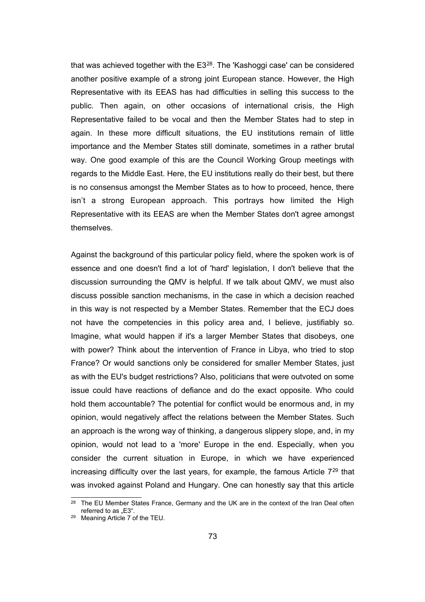that was achieved together with the E3[28](#page-78-0). The 'Kashoggi case' can be considered another positive example of a strong joint European stance. However, the High Representative with its EEAS has had difficulties in selling this success to the public. Then again, on other occasions of international crisis, the High Representative failed to be vocal and then the Member States had to step in again. In these more difficult situations, the EU institutions remain of little importance and the Member States still dominate, sometimes in a rather brutal way. One good example of this are the Council Working Group meetings with regards to the Middle East. Here, the EU institutions really do their best, but there is no consensus amongst the Member States as to how to proceed, hence, there isn't a strong European approach. This portrays how limited the High Representative with its EEAS are when the Member States don't agree amongst themselves.

Against the background of this particular policy field, where the spoken work is of essence and one doesn't find a lot of 'hard' legislation, I don't believe that the discussion surrounding the QMV is helpful. If we talk about QMV, we must also discuss possible sanction mechanisms, in the case in which a decision reached in this way is not respected by a Member States. Remember that the ECJ does not have the competencies in this policy area and, I believe, justifiably so. Imagine, what would happen if it's a larger Member States that disobeys, one with power? Think about the intervention of France in Libya, who tried to stop France? Or would sanctions only be considered for smaller Member States, just as with the EU's budget restrictions? Also, politicians that were outvoted on some issue could have reactions of defiance and do the exact opposite. Who could hold them accountable? The potential for conflict would be enormous and, in my opinion, would negatively affect the relations between the Member States. Such an approach is the wrong way of thinking, a dangerous slippery slope, and, in my opinion, would not lead to a 'more' Europe in the end. Especially, when you consider the current situation in Europe, in which we have experienced increasing difficulty over the last years, for example, the famous Article 7[29](#page-78-1) that was invoked against Poland and Hungary. One can honestly say that this article

<span id="page-78-0"></span><sup>&</sup>lt;sup>28</sup> The EU Member States France, Germany and the UK are in the context of the Iran Deal often referred to as "E3".

<span id="page-78-1"></span><sup>29</sup> Meaning Article 7 of the TEU.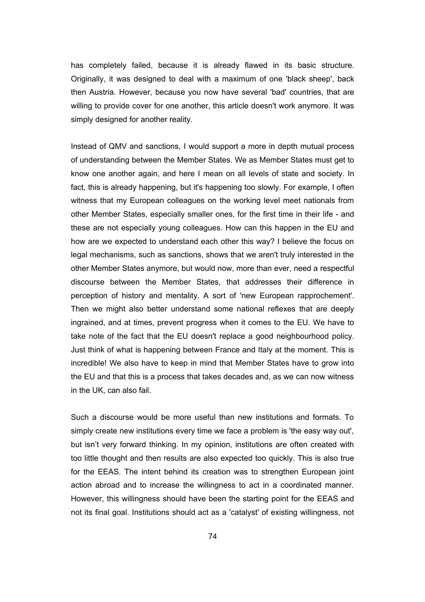has completely failed, because it is already flawed in its basic structure. Originally, it was designed to deal with a maximum of one 'black sheep', back then Austria. However, because you now have several 'bad' countries, that are willing to provide cover for one another, this article doesn't work anymore. It was simply designed for another reality.

Instead of QMV and sanctions, I would support a more in depth mutual process of understanding between the Member States. We as Member States must get to know one another again, and here I mean on all levels of state and society. In fact, this is already happening, but it's happening too slowly. For example, I often witness that my European colleagues on the working level meet nationals from other Member States, especially smaller ones, for the first time in their life - and these are not especially young colleagues. How can this happen in the EU and how are we expected to understand each other this way? I believe the focus on legal mechanisms, such as sanctions, shows that we aren't truly interested in the other Member States anymore, but would now, more than ever, need a respectful discourse between the Member States, that addresses their difference in perception of history and mentality. A sort of 'new European rapprochement'. Then we might also better understand some national reflexes that are deeply ingrained, and at times, prevent progress when it comes to the EU. We have to take note of the fact that the EU doesn't replace a good neighbourhood policy. Just think of what is happening between France and Italy at the moment. This is incredible! We also have to keep in mind that Member States have to grow into the EU and that this is a process that takes decades and, as we can now witness in the UK, can also fail.

Such a discourse would be more useful than new institutions and formats. To simply create new institutions every time we face a problem is 'the easy way out', but isn't very forward thinking. In my opinion, institutions are often created with too little thought and then results are also expected too quickly. This is also true for the EEAS. The intent behind its creation was to strengthen European joint action abroad and to increase the willingness to act in a coordinated manner. However, this willingness should have been the starting point for the EEAS and not its final goal. Institutions should act as a 'catalyst' of existing willingness, not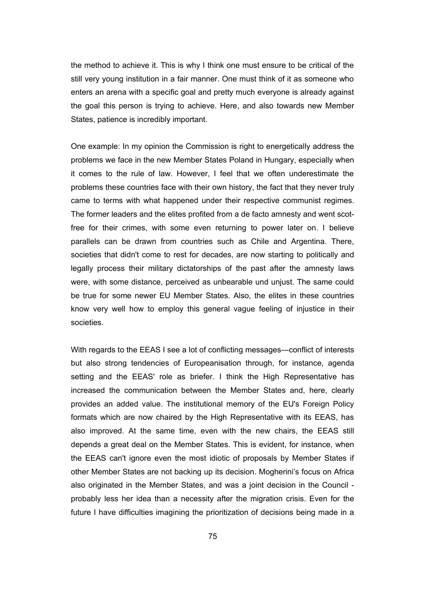the method to achieve it. This is why I think one must ensure to be critical of the still very young institution in a fair manner. One must think of it as someone who enters an arena with a specific goal and pretty much everyone is already against the goal this person is trying to achieve. Here, and also towards new Member States, patience is incredibly important.

One example: In my opinion the Commission is right to energetically address the problems we face in the new Member States Poland in Hungary, especially when it comes to the rule of law. However, I feel that we often underestimate the problems these countries face with their own history, the fact that they never truly came to terms with what happened under their respective communist regimes. The former leaders and the elites profited from a de facto amnesty and went scotfree for their crimes, with some even returning to power later on. I believe parallels can be drawn from countries such as Chile and Argentina. There, societies that didn't come to rest for decades, are now starting to politically and legally process their military dictatorships of the past after the amnesty laws were, with some distance, perceived as unbearable und unjust. The same could be true for some newer EU Member States. Also, the elites in these countries know very well how to employ this general vague feeling of injustice in their societies.

With regards to the EEAS I see a lot of conflicting messages—conflict of interests but also strong tendencies of Europeanisation through, for instance, agenda setting and the EEAS' role as briefer. I think the High Representative has increased the communication between the Member States and, here, clearly provides an added value. The institutional memory of the EU's Foreign Policy formats which are now chaired by the High Representative with its EEAS, has also improved. At the same time, even with the new chairs, the EEAS still depends a great deal on the Member States. This is evident, for instance, when the EEAS can't ignore even the most idiotic of proposals by Member States if other Member States are not backing up its decision. Mogherini's focus on Africa also originated in the Member States, and was a joint decision in the Council probably less her idea than a necessity after the migration crisis. Even for the future I have difficulties imagining the prioritization of decisions being made in a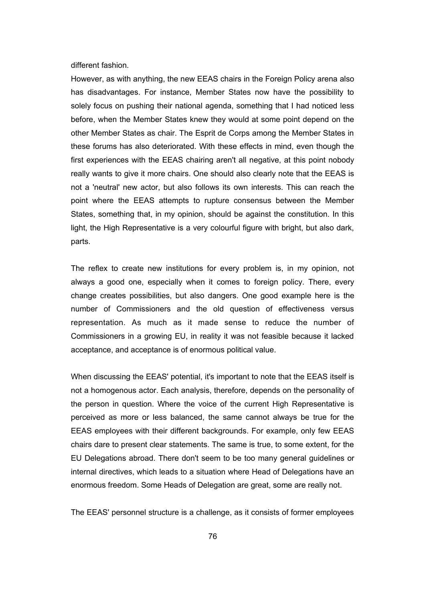different fashion.

However, as with anything, the new EEAS chairs in the Foreign Policy arena also has disadvantages. For instance, Member States now have the possibility to solely focus on pushing their national agenda, something that I had noticed less before, when the Member States knew they would at some point depend on the other Member States as chair. The Esprit de Corps among the Member States in these forums has also deteriorated. With these effects in mind, even though the first experiences with the EEAS chairing aren't all negative, at this point nobody really wants to give it more chairs. One should also clearly note that the EEAS is not a 'neutral' new actor, but also follows its own interests. This can reach the point where the EEAS attempts to rupture consensus between the Member States, something that, in my opinion, should be against the constitution. In this light, the High Representative is a very colourful figure with bright, but also dark, parts.

The reflex to create new institutions for every problem is, in my opinion, not always a good one, especially when it comes to foreign policy. There, every change creates possibilities, but also dangers. One good example here is the number of Commissioners and the old question of effectiveness versus representation. As much as it made sense to reduce the number of Commissioners in a growing EU, in reality it was not feasible because it lacked acceptance, and acceptance is of enormous political value.

When discussing the EEAS' potential, it's important to note that the EEAS itself is not a homogenous actor. Each analysis, therefore, depends on the personality of the person in question. Where the voice of the current High Representative is perceived as more or less balanced, the same cannot always be true for the EEAS employees with their different backgrounds. For example, only few EEAS chairs dare to present clear statements. The same is true, to some extent, for the EU Delegations abroad. There don't seem to be too many general guidelines or internal directives, which leads to a situation where Head of Delegations have an enormous freedom. Some Heads of Delegation are great, some are really not.

The EEAS' personnel structure is a challenge, as it consists of former employees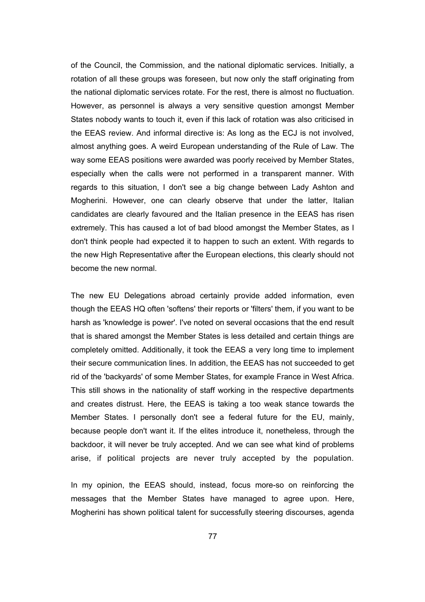of the Council, the Commission, and the national diplomatic services. Initially, a rotation of all these groups was foreseen, but now only the staff originating from the national diplomatic services rotate. For the rest, there is almost no fluctuation. However, as personnel is always a very sensitive question amongst Member States nobody wants to touch it, even if this lack of rotation was also criticised in the EEAS review. And informal directive is: As long as the ECJ is not involved, almost anything goes. A weird European understanding of the Rule of Law. The way some EEAS positions were awarded was poorly received by Member States, especially when the calls were not performed in a transparent manner. With regards to this situation, I don't see a big change between Lady Ashton and Mogherini. However, one can clearly observe that under the latter, Italian candidates are clearly favoured and the Italian presence in the EEAS has risen extremely. This has caused a lot of bad blood amongst the Member States, as I don't think people had expected it to happen to such an extent. With regards to the new High Representative after the European elections, this clearly should not become the new normal.

The new EU Delegations abroad certainly provide added information, even though the EEAS HQ often 'softens' their reports or 'filters' them, if you want to be harsh as 'knowledge is power'. I've noted on several occasions that the end result that is shared amongst the Member States is less detailed and certain things are completely omitted. Additionally, it took the EEAS a very long time to implement their secure communication lines. In addition, the EEAS has not succeeded to get rid of the 'backyards' of some Member States, for example France in West Africa. This still shows in the nationality of staff working in the respective departments and creates distrust. Here, the EEAS is taking a too weak stance towards the Member States. I personally don't see a federal future for the EU, mainly, because people don't want it. If the elites introduce it, nonetheless, through the backdoor, it will never be truly accepted. And we can see what kind of problems arise, if political projects are never truly accepted by the population.

In my opinion, the EEAS should, instead, focus more-so on reinforcing the messages that the Member States have managed to agree upon. Here, Mogherini has shown political talent for successfully steering discourses, agenda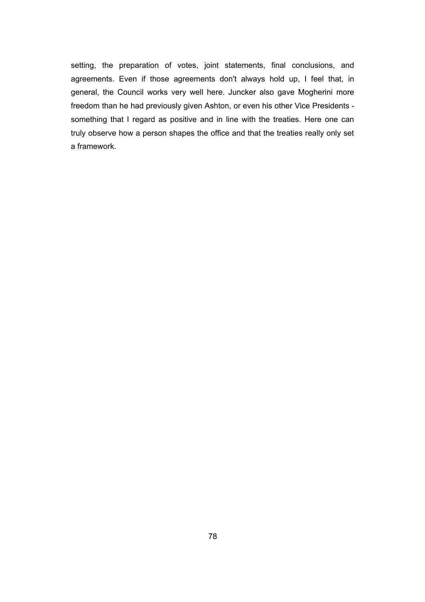setting, the preparation of votes, joint statements, final conclusions, and agreements. Even if those agreements don't always hold up, I feel that, in general, the Council works very well here. Juncker also gave Mogherini more freedom than he had previously given Ashton, or even his other Vice Presidents something that I regard as positive and in line with the treaties. Here one can truly observe how a person shapes the office and that the treaties really only set a framework.